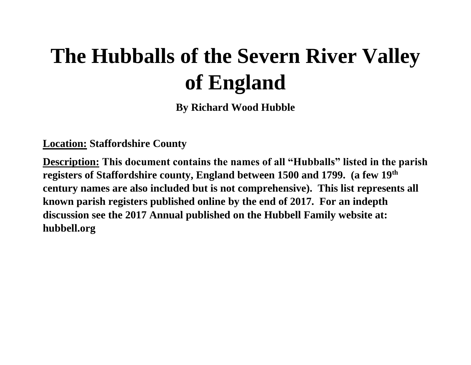# **The Hubballs of the Severn River Valley of England**

**By Richard Wood Hubble**

**Location: Staffordshire County**

**Description: This document contains the names of all "Hubballs" listed in the parish registers of Staffordshire county, England between 1500 and 1799. (a few 19th century names are also included but is not comprehensive). This list represents all known parish registers published online by the end of 2017. For an indepth discussion see the 2017 Annual published on the Hubbell Family website at: hubbell.org**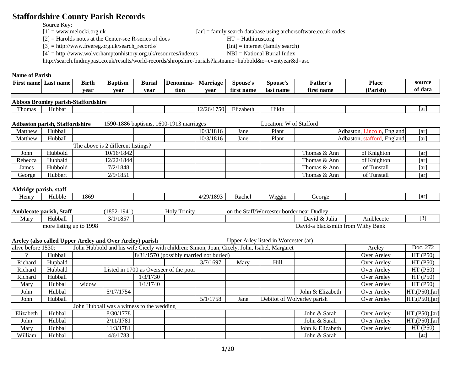# **Staffordshire County Parish Records**

Source Key:<br> $[1]$  = www.melocki.org.uk

[2] = Harolds notes at the Center-see R-series of docs HT = Hathitrust.org

[3] = http://www.freereg.org.uk/search\_records/ [Int] = internet (family search)

 $[ar]$  = family search database using archersoftware.co.uk codes

[4] = http://www.wolverhamptonhistory.org.uk/resources/indexes NBI = National Burial Index

http://search.findmypast.co.uk/results/world-records/shropshire-burials?lastname=hubbold&o=eventyear&d=asc

#### **Name of Parish**

| <b>First name</b><br>Last name | T.<br>Birth | <b>Baptism</b> | Buria | Denomına- | Marriage | Spouse's      | Spouse's       | r'ather'   | <b>Place</b>  | source  |
|--------------------------------|-------------|----------------|-------|-----------|----------|---------------|----------------|------------|---------------|---------|
|                                | vear        | vear           | vear  | tion      | vear     | ` name<br>tır | * name<br>Tas. | first name | <b>Parish</b> | of data |

#### **Abbots Bromley parish-Staffordshire**

| $\sim$<br>l homas | Hubbat |  |  | $\overline{\phantom{a}}$<br>756.<br>$\frac{1}{2}$ | ---<br>£lizabeth | .<br>Hıkın |  | Tar i |
|-------------------|--------|--|--|---------------------------------------------------|------------------|------------|--|-------|
|                   |        |  |  | . .<br>---                                        |                  |            |  |       |
|                   |        |  |  |                                                   |                  |            |  |       |

#### **Adbaston parish, Staffordshire** 1590-1886 baptisms, 1600-1913 marriages Location: W of Stafford

| Matthew | Hubball |                                    |  | 10/3/1816 | Jane | Plant |              | Adbaston, Lincoln, England  | [ar] |
|---------|---------|------------------------------------|--|-----------|------|-------|--------------|-----------------------------|------|
| Matthew | Hubball |                                    |  | 10/3/1816 | Jane | Plant |              | Adbaston, stafford, England | [ar] |
|         |         | The above is 2 different listings? |  |           |      |       |              |                             |      |
| John    | Hubbold | 10/16/1842                         |  |           |      |       | Thomas & Ann | of Knighton                 | [ar] |
| Rebecca | Hubbald | 12/22/1844                         |  |           |      |       | Thomas & Ann | of Knighton                 | [ar] |
| James   | Hubbold | 7/2/1848                           |  |           |      |       | Thomas & Ann | of Tunstall                 | [ar] |
| George  | Hubbert | 2/9/1851                           |  |           |      |       | Thomas & Ann | of Tunstall                 | [ar] |

#### **Aldridge parish, staff**

| <b>Henry</b> | r T 1 1 1<br>. Hubble | 1869 |            |                         | /29/1893<br>. | . הכי<br>Rache.             | WI:<br>W 12 21 N         | ieorg                 | l ar |
|--------------|-----------------------|------|------------|-------------------------|---------------|-----------------------------|--------------------------|-----------------------|------|
|              |                       |      |            |                         |               |                             |                          |                       |      |
| Amblecote    | <b>parish, Staff</b>  |      | 1852<br>Ч4 | l rınıtv<br><b>HOIV</b> |               | $C/\sqrt{M}$<br>Stafi<br>on | preester<br>$\sim$ OLCC. | Dudley<br>border near |      |

|      | monttont parism, staff |      | 10JZ-<br>エンサエ | 1101<br>1 1 1 1 1 1 U 1 | UIL UIU DIALL/ YYULUSIUL | . vuidu | . iical Duulc                 |                        |          |  |
|------|------------------------|------|---------------|-------------------------|--------------------------|---------|-------------------------------|------------------------|----------|--|
| Mary | -lubball               |      | .1105<br>10J  |                         |                          |         | David & Julia                 | Amblecote              | $-$<br>◡ |  |
|      | more listing up to     | 1998 |               |                         |                          |         | i blacksmith from-<br>David-a | <b>Withy</b><br>' Bank |          |  |

|                    | Upper Arley listed in Worcester (ar)<br>Areley (also called Upper Areley and Over Areley) parish<br>John Hubbold and his wife Cicely with children: Simon, Joan, Cicely, John, Isabel, Margaret |       |                                           |                                        |  |                                         |      |      |                             |             |                 |
|--------------------|-------------------------------------------------------------------------------------------------------------------------------------------------------------------------------------------------|-------|-------------------------------------------|----------------------------------------|--|-----------------------------------------|------|------|-----------------------------|-------------|-----------------|
| alive before 1530: |                                                                                                                                                                                                 |       |                                           |                                        |  |                                         |      |      |                             | Areley      | Doc. 272        |
|                    | Hubball                                                                                                                                                                                         |       |                                           |                                        |  | 8/31/1570 (possibly married not buried) |      |      |                             | Over Areley | HT(P50)         |
| Richard            | Hupbald                                                                                                                                                                                         |       |                                           |                                        |  | 3/7/1697                                | Mary | Hill |                             | Over Areley | HT(P50)         |
| Richard            | Hubbald                                                                                                                                                                                         |       |                                           | Listed in 1700 as Overseer of the poor |  |                                         |      |      |                             | Over Areley | HT(P50)         |
| Richard            | Hubball                                                                                                                                                                                         |       |                                           | 1/3/1730                               |  |                                         |      |      |                             | Over Areley | HT(P50)         |
| Mary               | Hubbal                                                                                                                                                                                          | widow |                                           | 1/1/1740                               |  |                                         |      |      |                             | Over Areley | HT(P50)         |
| John               | Hubbal                                                                                                                                                                                          |       | 5/17/1754                                 |                                        |  |                                         |      |      | John & Elizabeth            | Over Areley | HT, (P50), [ar] |
| John               | <b>Hubball</b>                                                                                                                                                                                  |       |                                           |                                        |  | 5/1/1758                                | Jane |      | Debitot of Wolverley parish | Over Areley | HT, (P50), [ar] |
|                    |                                                                                                                                                                                                 |       | John Hubball was a witness to the wedding |                                        |  |                                         |      |      |                             |             |                 |
| Elizabeth          | Hubbal                                                                                                                                                                                          |       | 8/30/1778                                 |                                        |  |                                         |      |      | John & Sarah                | Over Areley | HT, (P50), [ar] |
| John               | Hubbal                                                                                                                                                                                          |       | 2/11/1781                                 |                                        |  |                                         |      |      | John & Sarah                | Over Areley | HT,(P50), [ar]  |
| Mary               | Hubbal                                                                                                                                                                                          |       | 11/3/1781                                 |                                        |  |                                         |      |      | John & Elizabeth            | Over Areley | HT(P50)         |
| William            | Hubbal                                                                                                                                                                                          |       | 4/6/1783                                  |                                        |  |                                         |      |      | John & Sarah                |             | [ar]            |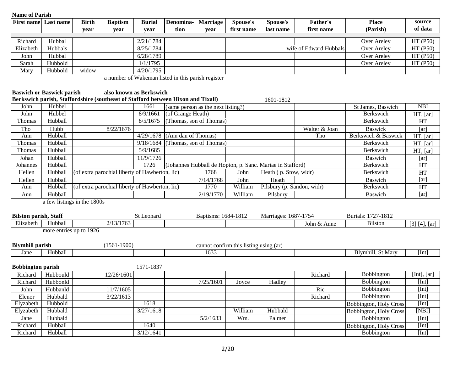| Name of Parisn               |                                  |                                                                                  |                                                |               |                                                    |                                    |                                        |                                                           |                        |                               |                   |
|------------------------------|----------------------------------|----------------------------------------------------------------------------------|------------------------------------------------|---------------|----------------------------------------------------|------------------------------------|----------------------------------------|-----------------------------------------------------------|------------------------|-------------------------------|-------------------|
| <b>First name</b>            | Last name                        | <b>Birth</b>                                                                     | <b>Baptism</b>                                 | <b>Burial</b> | Denomina-                                          | Marriage                           | Spouse's                               | Spouse's                                                  | Father's               | <b>Place</b>                  | source            |
|                              |                                  | year                                                                             | year                                           | year          | tion                                               | year                               | first name                             | last name                                                 | first name             | (Parish)                      | of data           |
|                              |                                  |                                                                                  |                                                |               |                                                    |                                    |                                        |                                                           |                        |                               |                   |
| Richard                      | Hubbal                           |                                                                                  |                                                | 2/21/1784     |                                                    |                                    |                                        |                                                           |                        | Over Areley                   | HT (P50)          |
| Elizabeth                    | Hubbals                          |                                                                                  |                                                | 8/25/1784     |                                                    |                                    |                                        |                                                           | wife of Edward Hubbals | Over Areley                   | HT (P50)          |
| John                         | Hubbal                           |                                                                                  |                                                | 6/28/1789     |                                                    |                                    |                                        |                                                           |                        | Over Areley                   | HT (P50)          |
| Sarah                        | Hubbold                          |                                                                                  |                                                | 1/1/1795      |                                                    |                                    |                                        |                                                           |                        | Over Areley                   | HT (P50)          |
| Mary                         | Hubbold                          | widow                                                                            |                                                | 4/20/1795     |                                                    |                                    |                                        |                                                           |                        |                               |                   |
|                              |                                  |                                                                                  |                                                |               | a number of Wakeman listed in this parish register |                                    |                                        |                                                           |                        |                               |                   |
|                              |                                  |                                                                                  |                                                |               |                                                    |                                    |                                        |                                                           |                        |                               |                   |
|                              | <b>Baswich or Baswick parish</b> |                                                                                  | also known as Berkswich                        |               |                                                    |                                    |                                        |                                                           |                        |                               |                   |
|                              |                                  | Berkswich parish, Staffordshire (southeast of Stafford between Hixon and Tixall) |                                                |               |                                                    |                                    |                                        | 1601-1812                                                 |                        |                               |                   |
| John                         | Hubbel                           |                                                                                  |                                                | 1661          |                                                    | (same person as the next listing?) |                                        |                                                           |                        | St James, Baswich             | <b>NBI</b>        |
| John                         | Hubbel                           |                                                                                  |                                                | 8/9/1661      | (of Grange Heath)                                  |                                    |                                        |                                                           |                        | Berkswich                     | HT, [ar]          |
| Thomas                       | Hubball                          |                                                                                  |                                                | 8/5/1675      | (Thomas, son of Thomas)                            |                                    |                                        |                                                           |                        | Berkswich                     | HT                |
| Tho                          | Hubb                             |                                                                                  | 8/22/1676                                      |               |                                                    |                                    |                                        |                                                           | Walter & Joan          | <b>Baswick</b>                | [ar]              |
| Ann                          | Hubball                          |                                                                                  |                                                | 4/29/1678     | (Ann dau of Thomas)                                |                                    |                                        |                                                           | Tho                    | Berkswich & Baswick           | HT, [ar]          |
| Thomas                       | Hubball                          |                                                                                  |                                                | 9/18/1684     |                                                    | (Thomas, son of Thomas)            |                                        |                                                           |                        | Berkswich                     | HT, [ar]          |
| Thomas                       | Hubball                          |                                                                                  |                                                | 5/9/1685      |                                                    |                                    |                                        |                                                           |                        | Berkswich                     | HT, [ar]          |
| Johan                        | Hubball                          |                                                                                  |                                                | 11/9/1726     |                                                    |                                    |                                        |                                                           |                        | Baswich                       |                   |
| Johannes                     | Hubball                          |                                                                                  |                                                | 1726          |                                                    |                                    |                                        | (Johannes Hubball de Hopton, p. Sanc. Mariae in Stafford) |                        | Berkswich                     | [ar]<br>HT        |
| Hellen                       | Hubball                          |                                                                                  | (of extra parochial liberty of Hawberton, lic) |               |                                                    | 1768                               | John                                   | Heath (p. Stow, widr)                                     |                        | Berkswich                     |                   |
|                              |                                  |                                                                                  |                                                |               |                                                    |                                    |                                        |                                                           |                        |                               | HT                |
| Hellen                       | Hubball<br>Hubball               |                                                                                  | (of extra parochial liberty of Hawberton, lic) |               |                                                    | 7/14/1768<br>1770                  | John<br>William                        | Heath<br>Pilsbury (p. Sandon, widr)                       |                        | Baswich<br><b>Berkswich</b>   | [ar]              |
| Ann                          |                                  |                                                                                  |                                                |               |                                                    |                                    |                                        |                                                           |                        |                               | HT                |
| Ann                          | Hubball                          |                                                                                  |                                                |               |                                                    | 2/19/1770                          | William                                | Pilsbury                                                  |                        | Baswich                       | [ar]              |
|                              |                                  | a few listings in the 1800s                                                      |                                                |               |                                                    |                                    |                                        |                                                           |                        |                               |                   |
|                              |                                  |                                                                                  |                                                |               |                                                    |                                    |                                        |                                                           |                        |                               |                   |
| <b>Bilston parish, Staff</b> |                                  |                                                                                  |                                                | St Leonard    |                                                    | Baptisms: 1684-1812                |                                        | Marriages: 1687-1754                                      |                        | Burials: 1727-1812            |                   |
| Elizabeth                    | Hubball                          |                                                                                  | 2/13/1763                                      |               |                                                    |                                    |                                        |                                                           | John & Anne            | <b>Bilston</b>                | $[3] [4]$ , $[4]$ |
|                              | more entries up to 1926          |                                                                                  |                                                |               |                                                    |                                    |                                        |                                                           |                        |                               |                   |
|                              |                                  |                                                                                  |                                                |               |                                                    |                                    |                                        |                                                           |                        |                               |                   |
| <b>Blymhill parish</b>       |                                  |                                                                                  | $(1561 - 1900)$                                |               |                                                    |                                    | cannot confirm this listing using (ar) |                                                           |                        |                               |                   |
| Jane                         | Hubball                          |                                                                                  |                                                |               |                                                    | 1633                               |                                        |                                                           |                        | <b>Blymhill</b> , St Mary     | [Int]             |
|                              |                                  |                                                                                  |                                                |               |                                                    |                                    |                                        |                                                           |                        |                               |                   |
| <b>Bobbington parish</b>     |                                  |                                                                                  |                                                | 1571-1837     |                                                    |                                    |                                        |                                                           |                        |                               |                   |
|                              | Richard Hubbould                 |                                                                                  | 12/26/1601                                     |               |                                                    |                                    |                                        |                                                           | Richard                | Bobbington                    | [Int], $[ar]$     |
|                              | Richard Hubbonld                 |                                                                                  |                                                |               |                                                    | 7/25/1601                          | Joyce                                  | Hadley                                                    |                        | Bobbington                    | [Int]             |
| John                         | Hubbanld                         |                                                                                  | 11/7/1605                                      |               |                                                    |                                    |                                        |                                                           | Ric                    | Bobbington                    | [Int]             |
| Elenor                       | Hubbald                          |                                                                                  | 3/22/1613                                      |               |                                                    |                                    |                                        |                                                           | Richard                | Bobbington                    | [Int]             |
| Elyzabeth                    | Hubbold                          |                                                                                  |                                                | 1618          |                                                    |                                    |                                        |                                                           |                        | <b>Bobbington, Holy Cross</b> | [Int]             |
| Elyzabeth                    | Hubbald                          |                                                                                  |                                                | 3/27/1618     |                                                    |                                    | William                                | Hubbald                                                   |                        | <b>Bobbington, Holy Cross</b> | [NBI]             |
| Jane                         | Hubbald                          |                                                                                  |                                                |               |                                                    | 5/2/1633                           | Wm.                                    | Palmer                                                    |                        | Bobbington                    | [Int]             |
| Richard                      | Hubball                          |                                                                                  |                                                | 1640          |                                                    |                                    |                                        |                                                           |                        | <b>Bobbington, Holy Cross</b> | [Int]             |
| Richard                      | Hubball                          |                                                                                  |                                                | 3/12/1641     |                                                    |                                    |                                        |                                                           |                        | Bobbington                    | [Int]             |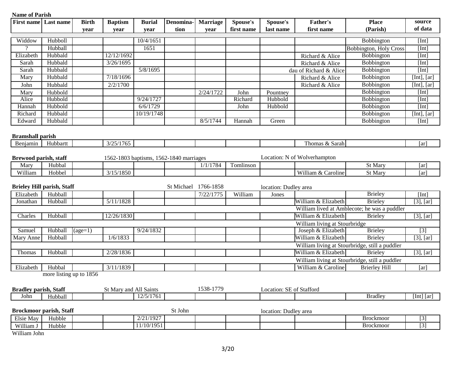| <b>First name</b> Last name    |                                   | <b>Birth</b> | <b>Baptism</b>         | <b>Burial</b> | Denomina-                               | <b>Marriage</b> | Spouse's   | Spouse's                 | <b>Father's</b>               | <b>Place</b>                                   | source                     |
|--------------------------------|-----------------------------------|--------------|------------------------|---------------|-----------------------------------------|-----------------|------------|--------------------------|-------------------------------|------------------------------------------------|----------------------------|
|                                |                                   | year         | year                   | year          | tion                                    | year            | first name | last name                | first name                    | (Parish)                                       | of data                    |
|                                |                                   |              |                        |               |                                         |                 |            |                          |                               |                                                |                            |
| Widdow<br>$\gamma$             | Hubboll                           |              |                        | 10/4/1651     |                                         |                 |            |                          |                               | Bobbington                                     | [Int]                      |
|                                | Hubball                           |              |                        | 1651          |                                         |                 |            |                          |                               | <b>Bobbington, Holy Cross</b>                  | [Int]                      |
| Elizabeth                      | Hubbald                           |              | 12/12/1692             |               |                                         |                 |            |                          | Richard & Alice               | Bobbington                                     | [Int]                      |
| Sarah                          | Hubbald                           |              | 3/26/1695              |               |                                         |                 |            |                          | Richard & Alice               | Bobbington                                     | [Int]                      |
| Sarah                          | Hubbald                           |              |                        | 5/8/1695      |                                         |                 |            |                          | dau of Richard & Alice        | Bobbington                                     | [Int]                      |
| Mary                           | Hubbald                           |              | 7/18/1696              |               |                                         |                 |            |                          | Richard & Alice               | Bobbington                                     | [Int], $[ar]$              |
| John                           | Hubbald                           |              | 2/2/1700               |               |                                         |                 |            |                          | Richard & Alice               | Bobbington                                     | [Int], $[ar]$              |
| Mary                           | Hubbold                           |              |                        |               |                                         | 2/24/1722       | John       | Pountney                 |                               | Bobbington                                     | [Int]                      |
| Alice                          | Hubbold                           |              |                        | 9/24/1727     |                                         |                 | Richard    | Hubbold                  |                               | Bobbington                                     | [Int]                      |
| Hannah                         | Hubbold                           |              |                        | 6/6/1729      |                                         |                 | John       | Hubbold                  |                               | Bobbington                                     | [Int]                      |
| Richard                        | Hubbald                           |              |                        | 10/19/1748    |                                         |                 |            |                          |                               | Bobbington                                     | [Int], $[ar]$              |
| Edward                         | Hubbald                           |              |                        |               |                                         | 8/5/1744        | Hannah     | Green                    |                               | Bobbington                                     | [Int]                      |
|                                |                                   |              |                        |               |                                         |                 |            |                          |                               |                                                |                            |
| <b>Bramshall parish</b>        |                                   |              |                        |               |                                         |                 |            |                          |                               |                                                |                            |
| Benjamin                       | Hubbartt                          |              | 3/25/1765              |               |                                         |                 |            |                          | Thomas & Sarah                |                                                | [ar]                       |
|                                |                                   |              |                        |               |                                         |                 |            |                          |                               |                                                |                            |
| Brewood parish, staff          |                                   |              |                        |               | 1562-1803 baptisms, 1562-1840 marriages |                 |            |                          | Location: N of Wolverhampton  |                                                |                            |
| Mary                           | Hubbal                            |              |                        |               |                                         | 1/1/1784        | Tomlinson  |                          |                               | St Mary                                        | [ar]                       |
| William                        | Hobbel                            |              | 3/15/1850              |               |                                         |                 |            |                          | William & Caroline            | St Mary                                        | [ar]                       |
|                                |                                   |              |                        |               |                                         |                 |            |                          |                               |                                                |                            |
|                                | <b>Brieley Hill parish, Staff</b> |              |                        |               | St Michael                              | 1766-1858       |            | location: Dudley area    |                               |                                                |                            |
| Elizabeth                      | Hubball                           |              |                        |               |                                         | 7/22/1775       | William    | Jones                    |                               | <b>Brieley</b>                                 | [Int]                      |
| Jonathan                       | Hubball                           |              | 5/11/1828              |               |                                         |                 |            |                          | William & Elizabeth           | <b>Brieley</b>                                 | $[3]$ , $[ar]$             |
|                                |                                   |              |                        |               |                                         |                 |            |                          |                               | William lived at Amblecote; he was a puddler   |                            |
| Charles                        | Hubball                           |              | 12/26/1830             |               |                                         |                 |            |                          | William & Elizabeth           | <b>Brieley</b>                                 | $[3]$ , $[ar]$             |
|                                |                                   |              |                        |               |                                         |                 |            |                          | William living at Stourbridge |                                                |                            |
| Samuel                         | Hubball                           | $(age=1)$    |                        | 9/24/1832     |                                         |                 |            |                          | Joseph & Elizabeth            | <b>Brieley</b>                                 | $\boxed{3}$                |
| Mary Anne                      | Hubball                           |              | 1/6/1833               |               |                                         |                 |            |                          | William & Elizabeth           | <b>Brieley</b>                                 | $[3]$ , $[ar]$             |
|                                |                                   |              |                        |               |                                         |                 |            |                          |                               | William living at Stourbridge, still a puddler |                            |
| Thomas                         | Hubball                           |              | 2/28/1836              |               |                                         |                 |            |                          | William & Elizabeth           | <b>Brieley</b>                                 | $[3]$ , $[ar]$             |
|                                |                                   |              |                        |               |                                         |                 |            |                          |                               | William living at Stourbridge, still a puddler |                            |
| Elizabeth                      | Hubbal                            |              | 3/11/1839              |               |                                         |                 |            |                          | William & Caroline            | <b>Brierley Hill</b>                           | [ar]                       |
|                                | more listing up to 1856           |              |                        |               |                                         |                 |            |                          |                               |                                                |                            |
|                                |                                   |              |                        |               |                                         |                 |            |                          |                               |                                                |                            |
| <b>Bradley parish, Staff</b>   |                                   |              | St Mary and All Saints |               |                                         | 1538-1779       |            | Location: SE of Stafford |                               |                                                |                            |
| John                           | Hubball                           |              |                        | 12/5/1761     |                                         |                 |            |                          |                               | <b>Bradley</b>                                 | [Int] $\lbrack ar \rbrack$ |
|                                |                                   |              |                        |               |                                         |                 |            |                          |                               |                                                |                            |
| <b>Brockmoor parish, Staff</b> |                                   |              |                        |               | St John                                 |                 |            | location: Dudley area    |                               |                                                |                            |
| Elsie May                      | Hubble                            |              |                        | 2/21/1927     |                                         |                 |            |                          |                               | <b>Brockmoor</b>                               | $[3]$                      |
| William J                      | Hubble                            |              |                        | 11/10/1951    |                                         |                 |            |                          |                               | Brockmoor                                      | $\boxed{3}$                |
| $\mathbf{W}U(11111)$           |                                   |              |                        |               |                                         |                 |            |                          |                               |                                                |                            |

William John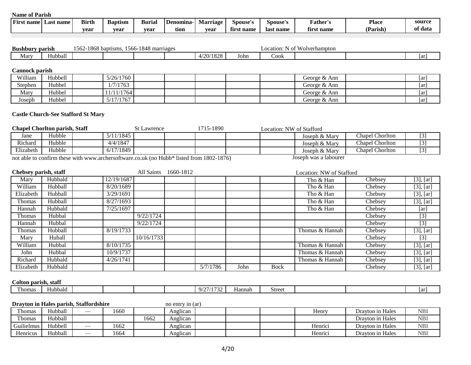| -•<br>name<br>Fırst | t name<br>Last | <b>Birth</b> | $\overline{\phantom{a}}$<br>Baptısm | <b>Burial</b> | <b>Denomina</b> | Marrıage | Spouse's    | Spouse's  | ather's            | <b>Place</b> | source       |
|---------------------|----------------|--------------|-------------------------------------|---------------|-----------------|----------|-------------|-----------|--------------------|--------------|--------------|
|                     |                | vear         | vear                                | vear          | tıon            | vear     | name<br>tır | last name | £.<br>name<br>tırs | Parish,      | † data<br>oг |

| <b>Bushbury</b>      | <sup>,</sup> parish      | 562 | -1868 baptisms.<br>1566 | -1848 marriages |               |      | Location:<br>IN OT | $\mathbf{r}$ and $\mathbf{r}$<br>Wolverhampton |     |
|----------------------|--------------------------|-----|-------------------------|-----------------|---------------|------|--------------------|------------------------------------------------|-----|
| $\mathbf{r}$<br>Mary | $\rightarrow$<br>⊣ubball |     |                         |                 | /20/1828<br>∸ | John | 'Jook              |                                                | Tar |

#### **Cannock parish**

| William | Hubbell | 5/26/1760 |  |  | George & Ann | ar   |
|---------|---------|-----------|--|--|--------------|------|
| Stephen | Hubbel  | 1/7/1763  |  |  | George & Ann | ar   |
| Mary    | Hubbel  | 1/11/1764 |  |  | George & Ann | [ar] |
| Joseph  | Hubbel  | 5/17/1767 |  |  | George & Ann | ar   |

#### **Castle Church-See Stafford St Mary**

| <b>Chapel Choriton parish, Staff</b>                                                       |        |  |           | <b>St Lawrence</b> | 1715-1890 | Location: NW of Stafford |                       |                        |  |
|--------------------------------------------------------------------------------------------|--------|--|-----------|--------------------|-----------|--------------------------|-----------------------|------------------------|--|
| Jane                                                                                       | Hubble |  | 11/1845\  |                    |           |                          | Joseph & Mary         | <b>Chapel Chorlton</b> |  |
| Richard                                                                                    | Hubble |  | 4/4/1847  |                    |           |                          | Joseph & Mary         | <b>Chapel Chorlton</b> |  |
| Elizabeth                                                                                  | Hubble |  | 6/17/1849 |                    |           |                          | Joseph & Mary         | <b>Chapel Chorlton</b> |  |
| not oble to confirm these with www.orghorooftypene as ult (no Hubb* listed from 1900 1976) |        |  |           |                    |           |                          | Locanh was a labourar |                        |  |

not able to confirm these with www.archersoftware.co.uk (no Hubb\* listed from 1802-1876) Joseph was a labourer

| Chebsey parish, staff |         |            | All Saints | 1660-1812 |          |      |             | Location: NW of Stafford |                             |                                               |
|-----------------------|---------|------------|------------|-----------|----------|------|-------------|--------------------------|-----------------------------|-----------------------------------------------|
| Mary                  | Hubbald | 12/19/1687 |            |           |          |      |             | Tho & Han                | Chebsey                     | $[3]$ , $[ar]$                                |
| William               | Hubball | 8/20/1689  |            |           |          |      |             | Tho & Han                | Chebsey                     | $[3]$ , $[ar]$                                |
| Elizabeth             | Hubball | 3/29/1691  |            |           |          |      |             | Tho & Han                | Chebsey                     | $[3]$ , $[ar]$                                |
| Thomas                | Hubball | 8/27/1693  |            |           |          |      |             | Tho & Han                | Chebsey                     | $[3]$ , $[ar]$                                |
| Hannah                | Hubbald | 7/25/1697  |            |           |          |      |             | Tho & Han                | $\overline{C}$ hebsey       | [ar]                                          |
| Thomas                | Hubbal  |            | 9/22/1724  |           |          |      |             |                          | Chebsey                     | $[3]$                                         |
| Hannah                | Hubbal  |            | 9/22/1724  |           |          |      |             |                          | Chebsey                     | $[3]$                                         |
| Thomas                | Hubball | 8/19/1733  |            |           |          |      |             | Thomas & Hannah          | Chebsey                     | $[3]$ , $[ar]$                                |
| Mary                  | Huball  |            | 10/16/1733 |           |          |      |             |                          | Chebsey                     | $[3]$                                         |
| William               | Hubbal  | 8/10/1735  |            |           |          |      |             | Thomas & Hannah          | Chebsey                     | $\overline{[3]}$ , $\overline{[a\mathbf{r}]}$ |
| John                  | Hubbal  | 10/9/1737  |            |           |          |      |             | Thomas & Hannah          | $\overline{\text{Chebsey}}$ | $[3]$ , $[ar]$                                |
| Richard               | Hubbald | 4/26/1741  |            |           |          |      |             | Thomas & Hannah          | Chebsey                     | $[3]$ , $[ar]$                                |
| Elizabeth             | Hubbald |            |            |           | 5/7/1786 | John | <b>Bock</b> |                          | Chebsey                     | $[3]$ , $[ar]$                                |

#### **Colton parish, staff**

| . homas | Hubbald |  |  | $\sim$ $\sim$ $\sim$ $\sim$<br>$\mathbf{u}$<br>--<br>. | Hannah | Street |  | l ai |
|---------|---------|--|--|--------------------------------------------------------|--------|--------|--|------|
|         |         |  |  |                                                        |        |        |  |      |

**Drayton in Hales parish, Staffordshire** no entry in (ar)

| Thomas          | Hubball | $-$ | 1660 |      | $\cdots$<br>Anglican |  | $\mathbf{v}$<br>Henry | Drayton in Hales | <b>NBI</b> |
|-----------------|---------|-----|------|------|----------------------|--|-----------------------|------------------|------------|
| Thomas          | Hubball |     |      | 1662 | $\cdot$<br>Anglican  |  |                       | Drayton in Hales | <b>NBI</b> |
| Guilielmus      | Hubbell |     | 1662 |      | $\cdots$<br>Anglican |  | Henrici               | Drayton in Hales | <b>NBI</b> |
| <b>Henricus</b> | Hubball | $-$ | 1664 |      | $\cdot$<br>Anglican  |  | Henrici               | Drayton in Hales | <b>NBI</b> |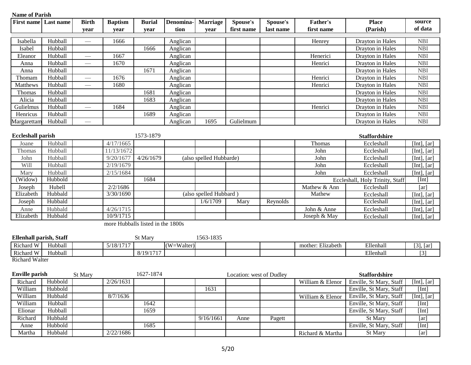| <b>Name of Parish</b>               |           |                          |                                   |               |                 |                         |                          |           |                   |                                 |               |
|-------------------------------------|-----------|--------------------------|-----------------------------------|---------------|-----------------|-------------------------|--------------------------|-----------|-------------------|---------------------------------|---------------|
| <b>First name</b>                   | Last name | <b>Birth</b>             | <b>Baptism</b>                    | <b>Burial</b> | <b>Denomina</b> | <b>Marriage</b>         | Spouse's                 | Spouse's  | <b>Father's</b>   | <b>Place</b>                    | source        |
|                                     |           | year                     | year                              | year          | tion            | year                    | first name               | last name | first name        | (Parish)                        | of data       |
| Isabella                            | Hubball   | $\qquad \qquad$          | 1666                              |               | Anglican        |                         |                          |           | Henrey            | Drayton in Hales                | <b>NBI</b>    |
| Isabel                              | Hubball   |                          |                                   | 1666          | Anglican        |                         |                          |           |                   | Drayton in Hales                | <b>NBI</b>    |
| Eleanor                             | Hubball   | $\overline{\phantom{0}}$ | 1667                              |               | Anglican        |                         |                          |           | Henerici          | Drayton in Hales                | <b>NBI</b>    |
| Anna                                | Hubball   |                          | 1670                              |               | Anglican        |                         |                          |           | Henrici           | Drayton in Hales                | <b>NBI</b>    |
| Anna                                | Hubball   |                          |                                   | 1671          | Anglican        |                         |                          |           |                   | Drayton in Hales                | <b>NBI</b>    |
| Thomam                              | Hubball   |                          | 1676                              |               | Anglican        |                         |                          |           | Henrici           | Drayton in Hales                | <b>NBI</b>    |
| Matthews                            | Hubball   | $\overline{\phantom{0}}$ | 1680                              |               | Anglican        |                         |                          |           | Henrici           | Drayton in Hales                | <b>NBI</b>    |
| Thomas                              | Hubball   |                          |                                   | 1681          | Anglican        |                         |                          |           |                   | Drayton in Hales                | <b>NBI</b>    |
| Alicia                              | Hubball   |                          |                                   | 1683          | Anglican        |                         |                          |           |                   | Drayton in Hales                | <b>NBI</b>    |
| Gulielmus                           | Hubball   |                          | 1684                              |               | Anglican        |                         |                          |           | Henrici           | Drayton in Hales                | <b>NBI</b>    |
| Henricus                            | Hubball   |                          |                                   | 1689          | Anglican        |                         |                          |           |                   | Drayton in Hales                | <b>NBI</b>    |
| Margarettam                         | Hubball   |                          |                                   |               | Anglican        | 1695                    | Gulielmum                |           |                   | Drayton in Hales                | <b>NBI</b>    |
|                                     |           |                          |                                   |               |                 |                         |                          |           |                   |                                 |               |
| <b>Eccleshall parish</b>            |           |                          |                                   | 1573-1879     |                 |                         |                          |           |                   | <b>Staffordshire</b>            |               |
| Joane                               | Hubball   |                          | 4/17/1665                         |               |                 |                         |                          |           | Thomas            | Eccleshall                      | [Int], $[ar]$ |
| Thomas                              | Hubball   |                          | 11/13/1672                        |               |                 |                         |                          |           | John              | Eccleshall                      | [Int], [ar]   |
| John                                | Hubball   |                          | 9/20/1677                         | 4/26/1679     |                 | (also spelled Hubbarde) |                          |           | John              | Eccleshall                      | [Int], $[ar]$ |
| Will                                | Hubball   |                          | 2/19/1679                         |               |                 |                         |                          |           | John              | Eccleshall                      | [Int], $[ar]$ |
| Mary                                | Hubball   |                          | 2/15/1684                         |               |                 |                         |                          |           | John              | Eccleshall                      | [Int], $[ar]$ |
| (Widow)                             | Hubbold   |                          |                                   | 1684          |                 |                         |                          |           |                   | Eccleshall, Holy Trinity, Staff | [Int]         |
| Joseph                              | Hubell    |                          | 2/2/1686                          |               |                 |                         |                          |           | Mathew & Ann      | Eccleshall                      | [ar]          |
| Elizabeth                           | Hubbald   |                          | 3/30/1690                         |               |                 | (also spelled Hubbard)  |                          |           | Mathew            | Eccleshall                      | [Int], $[ar]$ |
| Joseph                              | Hubbald   |                          |                                   |               |                 | 1/6/1709                | Mary                     | Reynolds  |                   | Eccleshall                      | [Int], $[ar]$ |
| Anne                                | Hubbald   |                          | 4/26/1715                         |               |                 |                         |                          |           | John & Anne       | Eccleshall                      | [Int], $[ar]$ |
| Elizabeth                           | Hubbald   |                          | 10/9/1715                         |               |                 |                         |                          |           | Joseph & May      | Eccleshall                      | [Int], $[ar]$ |
|                                     |           |                          | more Hubballs listed in the 1800s |               |                 |                         |                          |           |                   |                                 |               |
|                                     |           |                          |                                   |               |                 | 1563-1835               |                          |           |                   |                                 |               |
| <b>Ellenhall parish, Staff</b>      | Hubball   |                          | 5/18/1717                         | St Mary       |                 |                         |                          |           |                   | Ellenhall                       |               |
| Richard W<br>Richard $\overline{W}$ |           |                          |                                   |               | (W=Walter)      |                         |                          |           | mother: Elizabeth |                                 | [3], [ar]     |
| <b>Richard Walter</b>               | Hubball   |                          |                                   | 8/19/1717     |                 |                         |                          |           |                   | Ellenhall                       | $[3]$         |
|                                     |           |                          |                                   |               |                 |                         |                          |           |                   |                                 |               |
| <b>Enville parish</b>               |           | St Mary                  |                                   | 1627-1874     |                 |                         | Location: west of Dudley |           |                   | <b>Staffordshire</b>            |               |
| Richard                             | Hubbold   |                          | 2/26/1631                         |               |                 |                         |                          |           | William & Elenor  | Enville, St Mary, Staff         | [Int], [ar]   |
| William                             | Hubbold   |                          |                                   |               |                 | 1631                    |                          |           |                   | Enville, St Mary, Staff         | [Int]         |
| William                             | Hubbald   |                          | 8/7/1636                          |               |                 |                         |                          |           | William & Elenor  | Enville, St Mary, Staff         | [Int], $[ar]$ |
| William                             | Hubball   |                          |                                   | 1642          |                 |                         |                          |           |                   | Enville, St Mary, Staff         | [Int]         |
| Elionar                             | Hubball   |                          |                                   | 1659          |                 |                         |                          |           |                   | Enville, St Mary, Staff         | [Int]         |
| Richard                             | Hubbald   |                          |                                   |               |                 | 9/16/1661               | Anne                     | Pagett    |                   | St Mary                         | [ar]          |
| Anne                                | Hubbold   |                          |                                   | 1685          |                 |                         |                          |           |                   | Enville, St Mary, Staff         | [Int]         |
| Martha                              | Hubbald   |                          | 2/22/1686                         |               |                 |                         |                          |           | Richard & Martha  | St Mary                         | [ar]          |
|                                     |           |                          |                                   |               |                 |                         |                          |           |                   |                                 |               |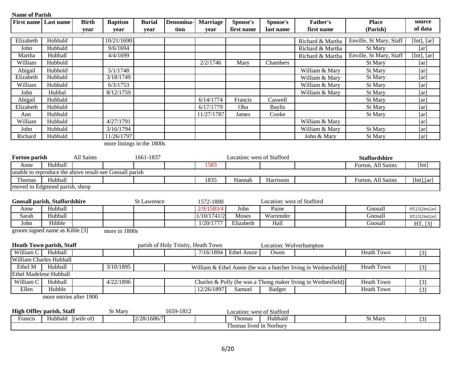| <b>Name of Parish</b>       |                                      |              |                                                         |                    |                                    |                         |                            |                            |                                                                |                         |                         |
|-----------------------------|--------------------------------------|--------------|---------------------------------------------------------|--------------------|------------------------------------|-------------------------|----------------------------|----------------------------|----------------------------------------------------------------|-------------------------|-------------------------|
| <b>First name</b> Last name |                                      | <b>Birth</b> | <b>Baptism</b>                                          | <b>Burial</b>      | Denomina-                          | <b>Marriage</b>         | Spouse's                   | Spouse's                   | <b>Father's</b>                                                | <b>Place</b>            | source                  |
|                             |                                      | year         | year                                                    | year               | tion                               | year                    | first name                 | last name                  | first name                                                     | (Parish)                | of data                 |
|                             | Hobbald                              |              | 10/21/1690                                              |                    |                                    |                         |                            |                            |                                                                |                         |                         |
| Elizabeth                   |                                      |              | 9/6/1694                                                |                    |                                    |                         |                            |                            | Richard & Martha                                               | Enville, St Mary, Staff | [Int], [ar]             |
| John                        | Hubbald                              |              |                                                         |                    |                                    |                         |                            |                            | Richard & Martha                                               | St Mary                 | $\overline{[ar]}$       |
| Martha                      | Hubball                              |              | 4/4/1699                                                |                    |                                    |                         |                            |                            | Richard & Martha                                               | Enville, St Mary, Staff | [Int], $[ar]$           |
| William                     | Hubbold                              |              |                                                         |                    |                                    | 2/2/1746                | Mary                       | Chambers                   |                                                                | St Mary                 | [ar]                    |
| Abigail                     | Hubbold                              |              | 5/1/1748                                                |                    |                                    |                         |                            |                            | William & Mary                                                 | St Mary                 | [ar]                    |
| Elizabeth                   | Hubbald                              |              | 3/18/1749                                               |                    |                                    |                         |                            |                            | William & Mary                                                 | St Mary                 | [ar]                    |
| William                     | Hubbald                              |              | 6/3/1753                                                |                    |                                    |                         |                            |                            | William & Mary                                                 | St Mary                 | [ar]                    |
| John                        | Hubbal                               |              | 8/12/1759                                               |                    |                                    |                         |                            |                            | William & Mary                                                 | St Mary                 | [ar]                    |
| Abigail                     | Hubbald                              |              |                                                         |                    |                                    | 6/14/1774               | Francis                    | Caswell                    |                                                                | St Mary                 | [ar]                    |
| Elizabeth                   | Hubbald                              |              |                                                         |                    |                                    | 6/17/1779               | Oba                        | <b>Baylis</b>              |                                                                | St Mary                 | [ar]                    |
| Ann                         | Hubbald                              |              |                                                         |                    |                                    | 11/27/1787              | James                      | Cooke                      |                                                                | St Mary                 | [ar]                    |
| William                     | Hubbald                              |              | 4/27/1791                                               |                    |                                    |                         |                            |                            | William & Mary                                                 |                         | [ar]                    |
| John                        | Hubbald                              |              | 3/16/1794                                               |                    |                                    |                         |                            |                            | William & Mary                                                 | St Mary                 | [ar]                    |
| Richard                     | Hubbald                              |              | 11/26/1797                                              |                    |                                    |                         |                            |                            | John & Mary                                                    | St Mary                 | [ar]                    |
|                             |                                      |              | more listings in the 1800s                              |                    |                                    |                         |                            |                            |                                                                |                         |                         |
|                             |                                      |              |                                                         |                    |                                    |                         |                            |                            |                                                                |                         |                         |
| Forton parish               |                                      | All Saints   |                                                         | 1661-1837          |                                    |                         | Location: west of Stafford |                            |                                                                | <b>Staffordshire</b>    |                         |
| Anne                        | Hubball                              |              |                                                         |                    |                                    | 1583                    |                            |                            |                                                                | Forton, All Saints      | [Int]                   |
|                             |                                      |              | unable to reproduce the above result-see Gnosall parish |                    |                                    |                         |                            |                            |                                                                |                         |                         |
| Thomas                      | Hubball                              |              |                                                         |                    |                                    | 1835                    | Hannah                     | Harrisson                  |                                                                | Forton, All Saints      | [Int], [ar]             |
|                             | moved to Edgmond parish, shrop       |              |                                                         |                    |                                    |                         |                            |                            |                                                                |                         |                         |
|                             |                                      |              |                                                         |                    |                                    |                         |                            |                            |                                                                |                         |                         |
|                             | <b>Gnosall parish, Staffordshire</b> |              |                                                         |                    |                                    |                         |                            | Location: west of Stafford |                                                                |                         |                         |
| Anne                        | Hubball                              |              |                                                         | <b>St Lawrence</b> |                                    | 1572-1800<br>2/9/1583/4 | John                       | Paine                      |                                                                | Gnosall                 |                         |
|                             | Hubball                              |              |                                                         |                    |                                    | 1/10/1741/2             |                            |                            |                                                                |                         | $HT$ , [3], [Int], [ar] |
| Sarah                       |                                      |              |                                                         |                    |                                    |                         | Moses                      | Warrender                  |                                                                | Gnosall                 | $HT$ , [3], [Int], [ar] |
| John                        | Hibble                               |              |                                                         |                    |                                    | 1/20/1777               | Elizabeth                  | Hall                       |                                                                | Gnosall                 | HT, [3]                 |
|                             | groom signed name as Kible [3]       |              | more in 1800s                                           |                    |                                    |                         |                            |                            |                                                                |                         |                         |
|                             |                                      |              |                                                         |                    |                                    |                         |                            |                            |                                                                |                         |                         |
|                             | <b>Heath Town parish, Staff</b>      |              |                                                         |                    | parish of Holy Trinity, Heath Town |                         |                            | Location: Wolverhampton    |                                                                |                         |                         |
| William C                   | Hubball                              |              |                                                         |                    |                                    | 7/16/1894               | <b>Ethel Annie</b>         | Owen                       |                                                                | <b>Heath Town</b>       | $\overline{[3]}$        |
|                             | William Charles Hubball              |              |                                                         |                    |                                    |                         |                            |                            |                                                                |                         |                         |
| Ethel M                     | Hubball                              |              | 3/10/1895                                               |                    |                                    |                         |                            |                            | William & Ethel Annie (he was a butcher living in Wednesfield) | <b>Heath Town</b>       | $[3]$                   |
|                             | Ethel Madelene Hubball               |              |                                                         |                    |                                    |                         |                            |                            |                                                                |                         |                         |
| William C                   | Hubball                              |              | 4/22/1896                                               |                    |                                    |                         |                            |                            | Charles & Polly (he was a Thong maker living in Wednesfield)   | <b>Heath Town</b>       | $[3]$                   |
| Ellen                       | Hubble                               |              |                                                         |                    |                                    | 12/26/1897              | Samuel                     | Badger                     |                                                                | <b>Heath Town</b>       | $[3]$                   |
|                             | more entries after 1900              |              |                                                         |                    |                                    |                         |                            |                            |                                                                |                         |                         |
|                             |                                      |              |                                                         |                    |                                    |                         |                            |                            |                                                                |                         |                         |
|                             | <b>High Offley parish, Staff</b>     |              | St Mary                                                 |                    | 1659-1812                          |                         | Location: west of Stafford |                            |                                                                |                         |                         |
|                             |                                      |              |                                                         | $2/29/1696/7$      |                                    |                         |                            | Thomas Uubbold             |                                                                | $C+M_{\text{corr}}$     | 0.21                    |

|         | .                                  | .                                     |                                   |         |         |  |
|---------|------------------------------------|---------------------------------------|-----------------------------------|---------|---------|--|
| Francis | Hubbald<br>$($ Wife $\sigma$ f $)$ | /20/1<br>COC/T1<br>◠<br>1 V V V<br>-- | $\sim$<br>Thomas                  | dubbald | "St Mar |  |
|         |                                    |                                       | $\sim$<br>Thomas lived in Norbury |         |         |  |
|         |                                    |                                       |                                   |         |         |  |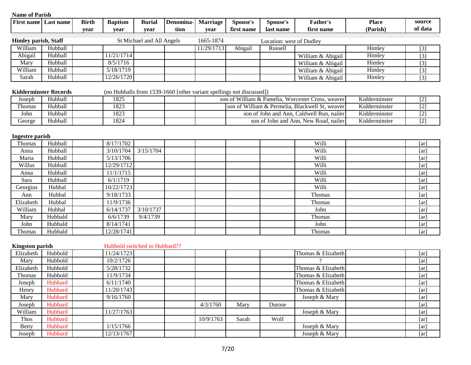| <b>Name of Parish</b>       |                              |              |                               |                           |           |                 |                                                                      |                          |                                                   |               |                    |
|-----------------------------|------------------------------|--------------|-------------------------------|---------------------------|-----------|-----------------|----------------------------------------------------------------------|--------------------------|---------------------------------------------------|---------------|--------------------|
|                             | <b>First name Last name</b>  | <b>Birth</b> | <b>Baptism</b>                | <b>Burial</b>             | Denomina- | <b>Marriage</b> | Spouse's                                                             | Spouse's                 | <b>Father's</b>                                   | <b>Place</b>  | source             |
|                             |                              | year         | year                          | year                      | tion      | year            | first name                                                           | last name                | first name                                        | (Parish)      | of data            |
| <b>Himley parish, Staff</b> |                              |              |                               | St Michael and All Angels |           | 1665-1874       |                                                                      | Location: west of Dudley |                                                   |               |                    |
| William                     | Hubball                      |              |                               |                           |           | 11/29/1713      | Abigail                                                              | Russell                  |                                                   | Himley        | $[3]$              |
| Abigail                     | Hubball                      |              | 11/21/1714                    |                           |           |                 |                                                                      |                          | William & Abigail                                 | Himley        | $[3]$              |
| Mary                        | Hubball                      |              | 8/5/1716                      |                           |           |                 |                                                                      |                          | William & Abigail                                 | Himley        | $[3]$              |
| William                     | Hubball                      |              | 5/18/1719                     |                           |           |                 |                                                                      |                          | William & Abigail                                 | Himley        | $[3]$              |
| Sarah                       | Hubball                      |              | 12/26/1720                    |                           |           |                 |                                                                      |                          | William & Abigail                                 | Himley        | $\boxed{3}$        |
|                             | <b>Kidderminster Records</b> |              |                               |                           |           |                 | (no Hubballs from 1539-1660 [other variant spellings not discussed]) |                          |                                                   |               |                    |
| Joseph                      | Hubball                      |              | 1825                          |                           |           |                 |                                                                      |                          | son of William & Pamelia, Worcester Cross, weaver | Kidderminster | $[2]$              |
| Thomas                      | Hubball                      |              | 1823                          |                           |           |                 |                                                                      |                          | son of William & Permelia, Blackwell St, weaver   | Kidderminster | $[2]$              |
| John                        | Hubball                      |              | 1823                          |                           |           |                 |                                                                      |                          | son of John and Ann, Caldwell Run, nailer         | Kidderminster | $[2]$              |
| George                      | Hubball                      |              | 1824                          |                           |           |                 |                                                                      |                          | son of John and Ann, New Road, nailer             | Kidderminster | $[2]$              |
| <b>Ingestre</b> parish      |                              |              |                               |                           |           |                 |                                                                      |                          |                                                   |               |                    |
| Thomas                      | Hubball                      |              | 8/17/1702                     |                           |           |                 |                                                                      |                          | Willi                                             |               | [ar]               |
| Anna                        | Hubball                      |              | 3/10/1704                     | 3/15/1704                 |           |                 |                                                                      |                          | Willi                                             |               | [ar]               |
| Maria                       | Hubball                      |              | 5/13/1706                     |                           |           |                 |                                                                      |                          | Willi                                             |               | [ar]               |
| Willus                      | Hubball                      |              | 12/29/1712                    |                           |           |                 |                                                                      |                          | Willi                                             |               | [ar]               |
| Anna                        | Hubball                      |              | 11/1/1715                     |                           |           |                 |                                                                      |                          | Willi                                             |               | [ar]               |
| Sara                        | Hubball                      |              | 6/1/1719                      |                           |           |                 |                                                                      |                          | Willi                                             |               | $\lceil ar \rceil$ |
| Georgius                    | Hubbal                       |              | 10/22/1723                    |                           |           |                 |                                                                      |                          | Willi                                             |               | $\lceil ar \rceil$ |
| Ann                         | Hubbal                       |              | 9/18/1733                     |                           |           |                 |                                                                      |                          | Thomas                                            |               | [ar]               |
| Elizabeth                   | Hubbal                       |              | 11/9/1736                     |                           |           |                 |                                                                      |                          | Thomas                                            |               | [ar]               |
| William                     | Hubbal                       |              | 6/14/1737                     | 3/10/1737                 |           |                 |                                                                      |                          | John                                              |               | [ar]               |
| Mary                        | Hubbald                      |              | 6/6/1739                      | 9/4/1739                  |           |                 |                                                                      |                          | Thomas                                            |               | [ar]               |
| John                        | Hubbald                      |              | 8/14/1741                     |                           |           |                 |                                                                      |                          | John                                              |               | [ar]               |
| Thomas                      | Hubbald                      |              | 12/28/1741                    |                           |           |                 |                                                                      |                          | Thomas                                            |               | [ar]               |
| <b>Kingston parish</b>      |                              |              | Hubbold switched to Hubbard?? |                           |           |                 |                                                                      |                          |                                                   |               |                    |
| Elizabeth                   | Hubbold                      |              | 11/24/1723                    |                           |           |                 |                                                                      |                          | Thomas & Elizabeth                                |               | [ar]               |
| Mary                        | Hubbold                      |              | 10/2/1726                     |                           |           |                 |                                                                      |                          |                                                   |               | [ar]               |
| Elizabeth                   | Hubbold                      |              | 5/28/1732                     |                           |           |                 |                                                                      |                          | Thomas & Elizabeth                                |               | [ar]               |
| Thomas                      | Hubbold                      |              | 11/9/1734                     |                           |           |                 |                                                                      |                          | Thomas & Elizabeth                                |               | [ar]               |
| Joseph                      | Hubbard                      |              | 6/11/1740                     |                           |           |                 |                                                                      |                          | Thomas & Elizabeth                                |               | $\lceil ar \rceil$ |
| Henry                       | Hubbard                      |              | 11/20/1743                    |                           |           |                 |                                                                      |                          | Thomas & Elizabeth                                |               | [ar]               |
| Mary                        | Hubbard                      |              | 9/16/1760                     |                           |           |                 |                                                                      |                          | Joseph & Mary                                     |               | [ar]               |
| Joseph                      | Hubbard                      |              |                               |                           |           | 4/3/1760        | Mary                                                                 | Durose                   |                                                   |               | [ar]               |

William Hubbard 11/27/1763 | | | | | | Joseph & Mary | | | | Thos Hubbard 10/9/1763 Sarah Wolf 10/9/1763 (arg) Betty Hubbard 1/15/1766 Joseph & Mary [ar] [ar] Joseph Hubbard 12/13/1767 Joseph & Mary [ar]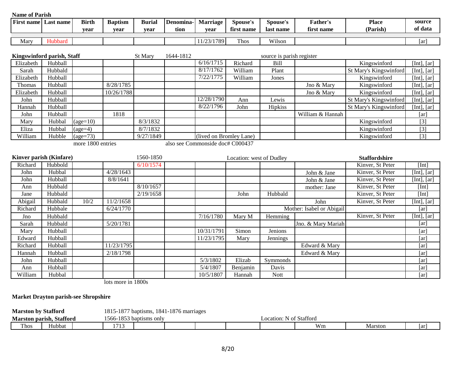| <b>Name of Parish</b> |                             |                   |                |               |           |                                  |                          |                           |                           |                        |                   |
|-----------------------|-----------------------------|-------------------|----------------|---------------|-----------|----------------------------------|--------------------------|---------------------------|---------------------------|------------------------|-------------------|
|                       | <b>First name Last name</b> | <b>Birth</b>      | <b>Baptism</b> | <b>Burial</b> | Denomina- | Marriage                         | Spouse's                 | Spouse's                  | Father's                  | <b>Place</b>           | source            |
|                       |                             | year              | year           | year          | tion      | year                             | first name               | last name                 | first name                | (Parish)               | of data           |
|                       |                             |                   |                |               |           |                                  |                          |                           |                           |                        |                   |
| Mary                  | Hubbard                     |                   |                |               |           | 11/23/1789                       | Thos                     | Wilson                    |                           |                        | [ar]              |
|                       | Kingswinford parish, Staff  |                   |                | St Mary       | 1644-1812 |                                  |                          | source is parish register |                           |                        |                   |
| Elizabeth             | Hubball                     |                   |                |               |           | 6/16/1715                        | Richard                  | Bill                      |                           | Kingswinford           | [Int], [ar]       |
| Sarah                 | Hubbald                     |                   |                |               |           | 8/17/1762                        | William                  | Plant                     |                           | St Mary's Kingswinford | [Int], [ar]       |
| Elizabeth             | Hubball                     |                   |                |               |           | 7/22/1775                        | William                  | Jones                     |                           | Kingswinford           | [Int], $[ar]$     |
| Thomas                | Hubball                     |                   | 8/28/1785      |               |           |                                  |                          |                           | Jno & Mary                | Kingswinford           | [Int], $[ar]$     |
| Elizabeth             | Hubball                     |                   | 10/26/1788     |               |           |                                  |                          |                           | Jno & Mary                | Kingswinford           | [Int], $[ar]$     |
| John                  | Hubball                     |                   |                |               |           | 12/28/1790                       | Ann                      | Lewis                     |                           | St Mary's Kingswinford | [Int], $[ar]$     |
| Hannah                | Hubball                     |                   |                |               |           | 8/22/1796                        | John                     | Hipkiss                   |                           | St Mary's Kingswinford | [Int], [ar]       |
| John                  | Hubball                     |                   | 1818           |               |           |                                  |                          |                           | William & Hannah          |                        | [ar]              |
| Mary                  | Hubbal                      | $\text{(age=10)}$ |                | 8/3/1832      |           |                                  |                          |                           |                           | Kingswinford           | $[3]$             |
| Eliza                 | Hubbal                      | $(age=4)$         |                | 8/7/1832      |           |                                  |                          |                           |                           | Kingswinford           | $[3]$             |
| William               | Hubble                      | $\text{(age=73)}$ |                | 9/27/1849     |           | (lived on Bromley Lane)          |                          |                           |                           | Kingswinford           | $\overline{[3]}$  |
|                       |                             | more 1800 entries |                |               |           | also see Commonside doc# C000437 |                          |                           |                           |                        |                   |
|                       |                             |                   |                |               |           |                                  |                          |                           |                           |                        |                   |
|                       | Kinver parish (Kinfare)     |                   |                | 1560-1850     |           |                                  | Location: west of Dudley |                           |                           | <b>Staffordshire</b>   |                   |
| Richard               | Hubbold                     |                   |                | 6/10/1574     |           |                                  |                          |                           |                           | Kinver, St Peter       | [Int]             |
| John                  | Hubbal                      |                   | 4/28/1643      |               |           |                                  |                          |                           | John & Jane               | Kinver, St Peter       | [Int], $[ar]$     |
| John                  | Hubball                     |                   | 8/8/1641       |               |           |                                  |                          |                           | John & Jane               | Kinver, St Peter       | [Int], [ar]       |
| Ann                   | Hubbald                     |                   |                | 8/10/1657     |           |                                  |                          |                           | mother: Jane              | Kinver, St Peter       | [Int]             |
| Jane                  | Hubbald                     |                   |                | 2/19/1658     |           |                                  | John                     | Hubbald                   |                           | Kinver, St Peter       | [Int]             |
| Abigail               | Hubbald                     | 10/2              | 11/2/1658      |               |           |                                  |                          |                           | John                      | Kinver, St Peter       | [Int], $[ar]$     |
| Richard               | Hubbale                     |                   | 6/24/1770      |               |           |                                  |                          |                           | Mother: Isabel or Abigail |                        | $\overline{[ar]}$ |
| Jno                   | Hubbald                     |                   |                |               |           | 7/16/1780                        | Mary M                   | Hemming                   |                           | Kinver, St Peter       | [Int], $[ar]$     |
| Sarah                 | Hubbald                     |                   | 5/20/1781      |               |           |                                  |                          |                           | Jno. & Mary Mariah        |                        | [ar]              |
| Mary                  | Hubball                     |                   |                |               |           | 10/31/1791                       | Simon                    | Jenions                   |                           |                        | [ar]              |
| Edward                | Hubball                     |                   |                |               |           | 11/23/1795                       | Mary                     | Jennings                  |                           |                        | [ar]              |
| Richard               | Hubball                     |                   | 11/23/1795     |               |           |                                  |                          |                           | Edward & Mary             |                        | [ar]              |
| Hannah                | Hubball                     |                   | 2/18/1798      |               |           |                                  |                          |                           | Edward & Mary             |                        | [ar]              |
| John                  | Hubball                     |                   |                |               |           | 5/3/1802                         | Elizab                   | Symmonds                  |                           |                        | [ar]              |
| Ann                   | Hubball                     |                   |                |               |           | 5/4/1807                         | Benjamin                 | Davis                     |                           |                        | [ar]              |
| William               | Hubbal                      |                   |                |               |           | 10/5/1807                        | Hannah                   | Nott                      |                           |                        | [ar]              |

lots more in 1800s

**Market Drayton parish-see Shropshire**

| <b>Marston by</b> | <sup>-</sup> Stafford           |  | 1877ء<br>1815 | baptisms.     | 1841-1876 marriages |  |             |               |         |    |
|-------------------|---------------------------------|--|---------------|---------------|---------------------|--|-------------|---------------|---------|----|
|                   | <b>Marston parish, Stafford</b> |  | 1566-1853 '   | baptisms only |                     |  | Location: . | N of Stafford |         |    |
| Thos<br>Hubbat    |                                 |  | 1710<br>. .   |               |                     |  |             | Wm            | Marston | ar |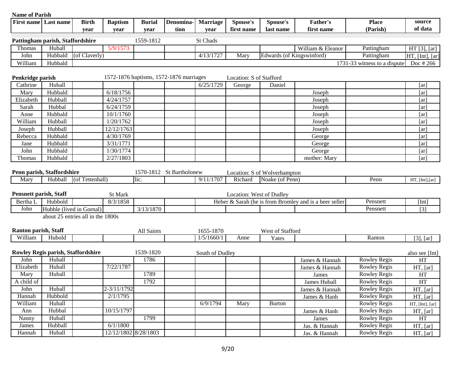| <b>Name of Parish</b>         |                                    |                                   |                      |               |                                         |                 |                          |                              |                                                        |                              |                   |
|-------------------------------|------------------------------------|-----------------------------------|----------------------|---------------|-----------------------------------------|-----------------|--------------------------|------------------------------|--------------------------------------------------------|------------------------------|-------------------|
|                               | <b>First name</b> Last name        | <b>Birth</b>                      | <b>Baptism</b>       | <b>Burial</b> | Denomina-                               | <b>Marriage</b> | Spouse's                 | Spouse's                     | <b>Father's</b>                                        | <b>Place</b>                 | source            |
|                               |                                    | vear                              | year                 | year          | tion                                    | year            | first name               | last name                    | first name                                             | (Parish)                     | of data           |
|                               | Pattingham parish, Staffordshire   |                                   |                      | 1559-1812     |                                         | St Chads        |                          |                              |                                                        |                              |                   |
| Thomas                        | Huball                             |                                   | 5/9/1573             |               |                                         |                 |                          |                              | William & Eleanor                                      | Pattingham                   | HT [3], [ar]      |
| John                          | Hubbald                            | (of Claverly)                     |                      |               |                                         | 4/13/1727       | Mary                     | Edwards (of Kingswinford)    |                                                        | Pattingham                   | HT, [Int], [ar]   |
| William                       | Hubbald                            |                                   |                      |               |                                         |                 |                          |                              |                                                        | 1731-33 witness to a dispute | Doc # 266         |
|                               |                                    |                                   |                      |               |                                         |                 |                          |                              |                                                        |                              |                   |
| Penkridge parish              |                                    |                                   |                      |               | 1572-1876 baptisms, 1572-1876 marriages |                 | Location: S of Stafford  |                              |                                                        |                              |                   |
| Cathrine                      | Huball                             |                                   |                      |               |                                         | 6/25/1729       | George                   | Daniel                       |                                                        |                              | [ar]              |
| Mary                          | Hubbald                            |                                   | 6/18/1756            |               |                                         |                 |                          |                              | Joseph                                                 |                              | [ar]              |
| Elizabeth                     | Hubball                            |                                   | 4/24/1757            |               |                                         |                 |                          |                              | Joseph                                                 |                              | [ar]              |
| Sarah                         | Hubbal                             |                                   | 6/24/1759            |               |                                         |                 |                          |                              | Joseph                                                 |                              | [ar]              |
| Anne                          | Hubbald                            |                                   | 10/1/1760            |               |                                         |                 |                          |                              | Joseph                                                 |                              | [ar]              |
| William                       | Hubball                            |                                   | 1/20/1762            |               |                                         |                 |                          |                              | Joseph                                                 |                              | [ar]              |
| Joseph                        | Hubball                            |                                   | 12/12/1763           |               |                                         |                 |                          |                              | Joseph                                                 |                              | [ar]              |
| Rebecca                       | Hubbald                            |                                   | 4/30/1769            |               |                                         |                 |                          |                              | George                                                 |                              | [ar]              |
| Jane                          | Hubbald                            |                                   | 3/31/1771            |               |                                         |                 |                          |                              | George                                                 |                              | [ar]              |
| John                          | Hubbald                            |                                   | 1/30/1774            |               |                                         |                 |                          |                              | George                                                 |                              | [ar]              |
| Thomas                        | Hubbald                            |                                   | 2/27/1803            |               |                                         |                 |                          |                              | mother: Mary                                           |                              | [ar]              |
|                               |                                    |                                   |                      |               |                                         |                 |                          |                              |                                                        |                              |                   |
|                               | Penn parish, Staffordshire         |                                   |                      |               | 1570-1812 St Bartholonew                |                 |                          | Location: S of Wolverhampton |                                                        |                              |                   |
| Mary                          | Hubball                            | (of Tettenhall)                   |                      | lic.          |                                         | 9/11/1707       | Richard                  | Noake (of Penn)              |                                                        | Penn                         | HT, [Int], [ar]   |
|                               |                                    |                                   |                      |               |                                         |                 |                          |                              |                                                        |                              |                   |
| <b>Pensnett parish, Staff</b> |                                    |                                   | St Mark              |               |                                         |                 | Location: West of Dudley |                              |                                                        |                              |                   |
| Bertha L                      | Hubbold                            |                                   | 8/3/1858             |               |                                         |                 |                          |                              | Heber & Sarah (he is from Bromley and is a beer seller | Pensnett                     | [Int]             |
| John                          |                                    | Hubble (lived in Gornal)          |                      | 3/13/1870     |                                         |                 |                          |                              |                                                        | Pensnett                     | $[3]$             |
|                               |                                    | about 25 entries all in the 1800s |                      |               |                                         |                 |                          |                              |                                                        |                              |                   |
|                               |                                    |                                   |                      |               |                                         |                 |                          |                              |                                                        |                              |                   |
| <b>Ranton parish, Staff</b>   |                                    |                                   |                      | All Saints    |                                         | 1655-1870       |                          | West of Stafford             |                                                        |                              |                   |
| William                       | Hubold                             |                                   |                      |               |                                         | 1/5/1660/1      | Anne                     | Yates                        |                                                        | Ranton                       | $[3]$ , $[ar]$    |
|                               |                                    |                                   |                      |               |                                         |                 |                          |                              |                                                        |                              |                   |
|                               | Rowley Regis parish, Staffordshire |                                   |                      | 1539-1820     |                                         | South of Dudley |                          |                              |                                                        |                              | also see [Int]    |
| John                          | Huball                             |                                   |                      | 1786          |                                         |                 |                          |                              | James & Hannah                                         | Rowley Regis                 | HT                |
| Elizabeth                     | Huball                             |                                   | 7/22/1787            |               |                                         |                 |                          |                              | James & Hannah                                         | <b>Rowley Regis</b>          | HT, [ar]          |
| Mary                          | Huball                             |                                   |                      | 1789          |                                         |                 |                          |                              | James                                                  | <b>Rowley Regis</b>          | HT                |
| A child of                    |                                    |                                   |                      | 1792          |                                         |                 |                          |                              | James Huball                                           | Rowley Regis                 | HT                |
| John                          | Huball                             |                                   | 2-3/11/1792          |               |                                         |                 |                          |                              | James & Hannah                                         | <b>Rowley Regis</b>          | HT, [ar]          |
| Hannah                        | Hubbold                            |                                   | 2/1/1795             |               |                                         |                 |                          |                              | James & Hanh                                           | <b>Rowley Regis</b>          | HT, [ar]          |
| William                       | Huball                             |                                   |                      |               |                                         | 6/9/1794        | Mary                     | <b>Burton</b>                |                                                        | Rowley Regis                 | HT, $[Int], [ar]$ |
| Ann                           | Hubbal                             |                                   | 10/15/1797           |               |                                         |                 |                          |                              | James & Hanh                                           | <b>Rowley Regis</b>          | HT, [ar]          |
| Nanny                         | Huball                             |                                   |                      | 1799          |                                         |                 |                          |                              | James                                                  | <b>Rowley Regis</b>          | HT                |
| James                         | Hubball                            |                                   | 6/1/1800             |               |                                         |                 |                          |                              | Jas. & Hannah                                          | <b>Rowley Regis</b>          | HT, [ar]          |
| Hannah                        | Huball                             |                                   | 12/12/1802 8/28/1803 |               |                                         |                 |                          |                              | Jas. & Hannah                                          | <b>Rowley Regis</b>          | HT, [ar]          |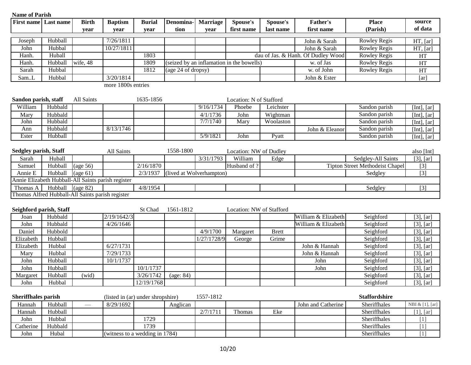| <b>Name of Parish</b>        |         |                                                    |                                   |               |                          |                 |                                           |              |                                    |                                        |                 |
|------------------------------|---------|----------------------------------------------------|-----------------------------------|---------------|--------------------------|-----------------|-------------------------------------------|--------------|------------------------------------|----------------------------------------|-----------------|
| <b>First name Last name</b>  |         | <b>Birth</b>                                       | <b>Baptism</b>                    | <b>Burial</b> | <b>Denomina</b>          | <b>Marriage</b> | Spouse's                                  | Spouse's     | <b>Father's</b>                    | <b>Place</b>                           | source          |
|                              |         | year                                               | year                              | year          | tion                     | year            | first name                                | last name    | first name                         | (Parish)                               | of data         |
| Joseph                       | Hubball |                                                    | 7/26/1811                         |               |                          |                 |                                           |              | John & Sarah                       | <b>Rowley Regis</b>                    | HT, [ar]        |
| John                         | Hubbal  |                                                    | 10/27/1811                        |               |                          |                 |                                           |              | John & Sarah                       | <b>Rowley Regis</b>                    | HT, [ar]        |
| Hanh.                        | Huball  |                                                    |                                   | 1803          |                          |                 |                                           |              | dau of Jas. & Hanh. Of Dudley Wood | <b>Rowley Regis</b>                    | HT              |
| Hanh.                        | Hubball | wife, 48                                           |                                   | 1809          |                          |                 | (seized by an inflamation in the bowells) |              | w. of Jas                          | <b>Rowley Regis</b>                    |                 |
| Sarah                        | Hubbal  |                                                    |                                   | 1812          | (age 24 of dropsy)       |                 |                                           |              | w. of John                         |                                        | HT              |
|                              |         |                                                    |                                   |               |                          |                 |                                           |              |                                    | <b>Rowley Regis</b>                    | HT              |
| SamL                         | Hubbal  |                                                    | 3/20/1814                         |               |                          |                 |                                           |              | John & Ester                       |                                        | [ar]            |
|                              |         |                                                    | more 1800s entries                |               |                          |                 |                                           |              |                                    |                                        |                 |
|                              |         |                                                    |                                   |               |                          |                 |                                           |              |                                    |                                        |                 |
| Sandon parish, staff         |         | All Saints                                         |                                   | 1635-1856     |                          |                 | Location: N of Stafford                   |              |                                    |                                        |                 |
| William                      | Hubbald |                                                    |                                   |               |                          | 9/16/1734       | Phoebe                                    | Leichster    |                                    | Sandon parish                          | [Int], $[ar]$   |
| Mary                         | Hubbald |                                                    |                                   |               |                          | 4/1/1736        | John                                      | Wightman     |                                    | Sandon parish                          | [Int], $[ar]$   |
| John                         | Hubbald |                                                    |                                   |               |                          | 7/7/1740        | Mary                                      | Woolaston    |                                    | Sandon parish                          | [Int], $[ar]$   |
| Ann                          | Hubbald |                                                    | 8/13/1746                         |               |                          |                 |                                           |              | John & Eleanor                     | Sandon parish                          | [Int], $[ar]$   |
| Ester                        | Hubball |                                                    |                                   |               |                          | 5/9/1821        | John                                      | Pyatt        |                                    | Sandon parish                          | [Int], [ar]     |
|                              |         |                                                    |                                   |               |                          |                 |                                           |              |                                    |                                        |                 |
| <b>Sedgley parish, Staff</b> |         |                                                    | All Saints                        |               | 1558-1800                |                 | Location: NW of Dudley                    |              |                                    |                                        | also [Int]      |
| Sarah                        | Huball  |                                                    |                                   |               |                          | 3/31/1793       | William                                   | Edge         |                                    | Sedgley-All Saints                     | $[3]$ , $[ar]$  |
| Samuel                       | Hubball | $\left(\text{age } 56\right)$                      |                                   | 2/16/1870     |                          |                 | Husband of ?                              |              |                                    | <b>Tipton Street Methodeist Chapel</b> | $[3]$           |
| Annie E                      | Hubball | $\frac{1}{2}$ (age 61)                             |                                   | 2/3/1937      | (lived at Wolverhampton) |                 |                                           |              |                                    | Sedgley                                | $[3]$           |
|                              |         | Annie Elizabeth Hubball-All Saints parish register |                                   |               |                          |                 |                                           |              |                                    |                                        |                 |
| Thomas A                     | Hubball | $\frac{1}{2}$ (age 82)                             |                                   | 4/8/1954      |                          |                 |                                           |              |                                    | Sedgley                                | $[3]$           |
|                              |         | Thomas Alfred Hubball-All Saints parish register   |                                   |               |                          |                 |                                           |              |                                    |                                        |                 |
|                              |         |                                                    |                                   |               |                          |                 |                                           |              |                                    |                                        |                 |
| Seighford parish, Staff      |         |                                                    |                                   | St Chad       | 1561-1812                |                 | Location: NW of Stafford                  |              |                                    |                                        |                 |
| Joan                         | Hubbald |                                                    | 2/19/1642/3                       |               |                          |                 |                                           |              | William & Elizabeth                | Seighford                              | $[3]$ , $[ar]$  |
| John                         | Hubbald |                                                    | 4/26/1646                         |               |                          |                 |                                           |              | William & Elizabeth                | Seighford                              | $[3]$ , $[ar]$  |
| Daniel                       | Hubbold |                                                    |                                   |               |                          | 4/9/1700        | Margaret                                  | <b>Brett</b> |                                    | Seighford                              | $[3]$ , $[ar]$  |
| Elizabeth                    | Hubball |                                                    |                                   |               |                          | 1/27/1728/9     | George                                    | Grime        |                                    | Seighford                              | $[3]$ , $[ar]$  |
| Elizabeth                    | Hubbal  |                                                    | 6/27/1731                         |               |                          |                 |                                           |              | John & Hannah                      | Seighford                              | $[3]$ , $[ar]$  |
| Mary                         | Hubbal  |                                                    | 7/29/1733                         |               |                          |                 |                                           |              | John & Hannah                      | Seighford                              | $[3]$ , $[ar]$  |
| John                         | Hubball |                                                    | 10/1/1737                         |               |                          |                 |                                           |              | John                               | Seighford                              | $[3]$ , $[ar]$  |
| John                         | Hubball |                                                    |                                   | 10/1/1737     |                          |                 |                                           |              | John                               | Seighford                              | $[3]$ , $[ar]$  |
| Margaret                     | Hubball | (wid)                                              |                                   | 3/26/1742     | (age: 84)                |                 |                                           |              |                                    | Seighford                              | $[3]$ , $[ar]$  |
| John                         | Hubbal  |                                                    |                                   | 12/19/1768    |                          |                 |                                           |              |                                    | Seighford                              | $[3]$ , $[ar]$  |
|                              |         |                                                    |                                   |               |                          |                 |                                           |              |                                    |                                        |                 |
| <b>Sheriffhales parish</b>   |         |                                                    | (listed in (ar) under shropshire) |               |                          | 1557-1812       |                                           |              |                                    | <b>Staffordshire</b>                   |                 |
| Hannah                       | Hubball |                                                    | 8/29/1692                         |               | Anglican                 |                 |                                           |              | John and Catherine                 | Sheriffhales                           | NBI & [1], [ar] |
| Hannah                       | Hubball |                                                    |                                   |               |                          | 2/7/1711        | Thomas                                    | Eke          |                                    | Sheriffhales                           | [1], [ar]       |
| John                         | Hubbal  |                                                    |                                   | 1729          |                          |                 |                                           |              |                                    | Sheriffhales                           | $[1]$           |
| Catherine                    | Hubbald |                                                    |                                   | 1739          |                          |                 |                                           |              |                                    | Sheriffhales                           | $[1]$           |
| John                         | Hubal   |                                                    | (witness to a wedding in 1784)    |               |                          |                 |                                           |              |                                    | Sheriffhales                           | $[1]$           |
|                              |         |                                                    |                                   |               |                          |                 |                                           |              |                                    |                                        |                 |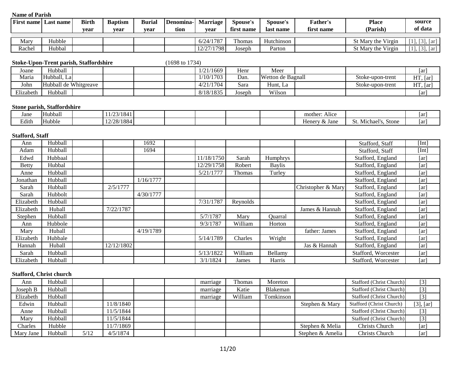| <b>First name</b> | Last name | <b>Birth</b><br>vear | <b>Baptism</b><br>vear | <b>Burial</b><br>vear | Denomina-l<br>tion | <b>Marriage</b><br>vear | <b>Spouse's</b><br>first name | Spouse's<br>last name | <b>Father's</b><br>first name | <b>Place</b><br>(Parish) | source<br>of data  |
|-------------------|-----------|----------------------|------------------------|-----------------------|--------------------|-------------------------|-------------------------------|-----------------------|-------------------------------|--------------------------|--------------------|
| Mary              | Hubble    |                      |                        |                       |                    | 6/24/1787               | Thomas                        | Hutchinson            |                               | St Mary the Virgin       | $\sqrt{3}$<br>lar' |
| Rachel            | Hubbal    |                      |                        |                       |                    | 12/27/1798              | Joseph                        | Parton                |                               | St Mary the Virgin       | [2]<br>.   ar !    |

#### **Stoke-Upon-Trent parish, Staffordshire** (1698 to 1734)

| Joane     | Hubball               |  |  | 1/21/1669 | Henr   | Meer              |                  | [ar          |
|-----------|-----------------------|--|--|-----------|--------|-------------------|------------------|--------------|
| Maria     | Hubball, La           |  |  | 1/10/1703 | Dan.   | Wetton de Bagnall | Stoke-upon-trent | HT<br>, [ar] |
| John      | Hubball de Whitgreave |  |  | 4/21/1704 | Sara   | . .<br>Hunt, La   | Stoke-upon-trent | HT<br>. [ar  |
| Elizabeth | Hubball               |  |  | 8/18/1835 | Joseph | Wilson            |                  | [ar]         |

### **Stone parish, Staffordshire**

| Jane  | $\rightarrow$<br>Hubball | 102/104<br>. 104<br>---- |  |  | .<br>mother.<br>Alice |                                     | ar  |
|-------|--------------------------|--------------------------|--|--|-----------------------|-------------------------------------|-----|
| Edith | . .<br><b>Hubble</b>     | 12/28/1884               |  |  | Jane<br>Henery        | Stone<br>. Michael<br><b>L.J.L.</b> | 1ar |

## **Stafford, Staff**

| Ann       | Hubball |            | 1692      |            |          |               |                    | Stafford, Staff     | [Int] |
|-----------|---------|------------|-----------|------------|----------|---------------|--------------------|---------------------|-------|
| Adam      | Hubball |            | 1694      |            |          |               |                    | Stafford, Staff     | [Int] |
| Edwd      | Hubbaal |            |           | 11/18/1750 | Sarah    | Humphrys      |                    | Stafford, England   | [ar]  |
| Betty     | Hubbal  |            |           | 12/29/1758 | Robert   | <b>Baylis</b> |                    | Stafford, England   | [ar]  |
| Anne      | Hubball |            |           | 5/21/1777  | Thomas   | Turley        |                    | Stafford, England   | [ar]  |
| Jonathan  | Hubball |            | 1/16/1777 |            |          |               |                    | Stafford, England   | [ar]  |
| Sarah     | Hubball | 2/5/1777   |           |            |          |               | Christopher & Mary | Stafford, England   | [ar]  |
| Sarah     | Hubbolt |            | 4/30/1777 |            |          |               |                    | Stafford, England   | [ar]  |
| Elizabeth | Hubball |            |           | 7/31/1787  | Reynolds |               |                    | Stafford, England   | [ar]  |
| Elizabeth | Huball  | 7/22/1787  |           |            |          |               | James & Hannah     | Stafford, England   | [ar]  |
| Stephen   | Hubball |            |           | 5/7/1787   | Mary     | Quarral       |                    | Stafford, England   | [ar]  |
| Ann       | Hubbole |            |           | 9/3/1787   | William  | Horton        |                    | Stafford, England   | [ar]  |
| Mary      | Huball  |            | 4/19/1789 |            |          |               | father: James      | Stafford, England   | [ar]  |
| Elizabeth | Hubbale |            |           | 5/14/1789  | Charles  | Wright        |                    | Stafford, England   | [ar]  |
| Hannah    | Huball  | 12/12/1802 |           |            |          |               | Jas & Hannah       | Stafford, England   | [ar]  |
| Sarah     | Hubball |            |           | 5/13/1822  | William  | Bellamy       |                    | Stafford, Worcester | [ar]  |
| Elizabeth | Hubball |            |           | 3/1/1824   | James    | Harris        |                    | Stafford, Worcester | [ar]  |

## **Stafford, Christ church**

| Ann       | Hubball |      |           |  | marriage | Thomas  | Moreton   |                  | Stafford (Christ Church) | $[3]$          |
|-----------|---------|------|-----------|--|----------|---------|-----------|------------------|--------------------------|----------------|
| Joseph B  | Hubball |      |           |  | marriage | Katie   | Blakeman  |                  | Stafford (Christ Church) | $[3]$          |
| Elizabeth | Hubball |      |           |  | marriage | William | Tomkinson |                  | Stafford (Christ Church) | $[3]$          |
| Edwin     | Hubball |      | 11/8/1840 |  |          |         |           | Stephen & Mary   | Stafford (Christ Church) | $[3]$ , $[ar]$ |
| Anne      | Hubball |      | 11/5/1844 |  |          |         |           |                  | Stafford (Christ Church) | $[3]$          |
| Mary      | Hubball |      | 11/5/1844 |  |          |         |           |                  | Stafford (Christ Church) | $[3]$          |
| Charles   | Hubble  |      | 11/7/1869 |  |          |         |           | Stephen & Melia  | <b>Christs Church</b>    | [ar]           |
| Mary Jane | Hubball | 5/12 | 4/5/1874  |  |          |         |           | Stephen & Amelia | <b>Christs Church</b>    | [ar]           |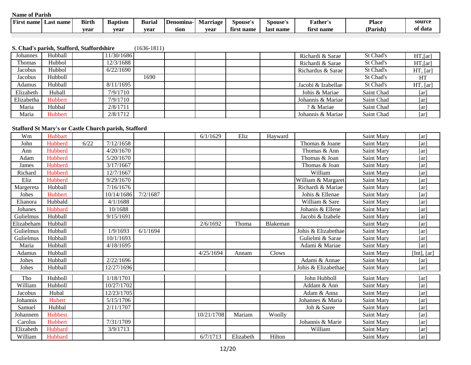| <b>First</b><br>. name | Last name | <b>Birth</b> | <b>Baptism</b> | <b>Burial</b> | Denomina- | Marriage | Spouse's               | Spouse's  | ∛ather's                     | <b>Place</b> | source  |
|------------------------|-----------|--------------|----------------|---------------|-----------|----------|------------------------|-----------|------------------------------|--------------|---------|
|                        |           | vear         | vear           | vear          | tıon      | vear     | -as<br>* name<br>tırst | last name | c.<br>t <b>name</b><br>tırsı | (Parish)     | of data |
|                        |           |              |                |               |           |          |                        |           |                              |              |         |

## **S. Chad's parish, Stafford, Staffordshire** (1636-1811)

| Johannes   | Hubball | 1/30/1686 |      |  |  | Richardi & Sarae   | St Chad's  | $HT$ , [ar] |
|------------|---------|-----------|------|--|--|--------------------|------------|-------------|
| Thomas     | Hubbol  | 12/3/1688 |      |  |  | Richardi & Sarae   | St Chad's  | $HT$ , [ar] |
| Jacobus    | Hubbol  | 6/22/1690 |      |  |  | Richardus & Sarae  | St Chad's  | HT, [ar]    |
| Jacobus    | Hubboll |           | 1690 |  |  |                    | St Chad's  | HT          |
| Adamus     | Hubball | 8/11/1695 |      |  |  | Jacobi & Izabellae | St Chad's  | HT, [ar]    |
| Elizabeth  | Huball  | 7/9/1710  |      |  |  | Johis & Mariae     | Saint Chad | [ar]        |
| Elizabetha | Hubbert | 7/9/1710  |      |  |  | Johannis & Mariae  | Saint Chad | [ar]        |
| Maria      | Hubbal  | 2/8/1711  |      |  |  | ? & Mariae         | Saint Chad | [ar]        |
| Maria      | Hubbert | 2/8/1712  |      |  |  | Johannis & Mariae  | Saint Chad | [ar]        |

#### **Stafford St Mary's or Castle Church parish, Stafford**

| Wm         | Hubbart        |      |            |          | 6/1/1629   | Eliz      | Hayward  |                     | Saint Mary | [ar]          |
|------------|----------------|------|------------|----------|------------|-----------|----------|---------------------|------------|---------------|
| John       | Hubberd        | 6/22 | 7/12/1658  |          |            |           |          | Thomas & Joane      | Saint Mary | [ar]          |
| Ann        | Hubberd        |      | 4/20/1670  |          |            |           |          | Thomas & Ann        | Saint Mary | [ar]          |
| Adam       | Hubberd        |      | 5/20/1670  |          |            |           |          | Thomas & Joan       | Saint Mary | [ar]          |
| James      | Hubberd        |      | 3/17/1667  |          |            |           |          | Thomas & Joan       | Saint Mary | [ar]          |
| Richard    | Hubberd        |      | 12/7/1667  |          |            |           |          | William             | Saint Mary | [ar]          |
| Eliz       | Hubberd        |      | 9/29/1670  |          |            |           |          | William & Margaret  | Saint Mary | [ar]          |
| Margereta  | Hubball        |      | 7/16/1676  |          |            |           |          | Richardi & Mariae   | Saint Mary | [ar]          |
| Johes      | <b>Hubbert</b> |      | 10/14/1686 | 7/2/1687 |            |           |          | Johis & Ellenae     | Saint Mary | [ar]          |
| Elianora   | Hubbald        |      | 4/1/1688   |          |            |           |          | William & Sare      | Saint Mary | [ar]          |
| Johanes    | Hubbard        |      | 10/1688    |          |            |           |          | Johanis & Ellene    | Saint Mary | [ar]          |
| Gulielmus  | Hubball        |      | 9/15/1691  |          |            |           |          | Jacobi & Izabele    | Saint Mary | [ar]          |
| Elizabeham | Hubball        |      |            |          | 2/6/1692   | Thoma     | Blakeman |                     | Saint Mary | [ar]          |
| Gulielmus  | Hubball        |      | 1/9/1693   | 6/1/1694 |            |           |          | Johis & Elizabethae | Saint Mary | [ar]          |
| Gulielmus  | Hubball        |      | 10/1/1693  |          |            |           |          | Gulielmi & Sarae    | Saint Mary | [ar]          |
| Maria      | Hubball        |      | 4/18/1695  |          |            |           |          | Adami & Mariae      | Saint Mary | [ar]          |
| Adamus     | Hubball        |      |            |          | 4/25/1694  | Annam     | Clows    |                     | Saint Mary | [Int], $[ar]$ |
| Johes      | Hubball        |      | 2/22/1696  |          |            |           |          | Adami & Annae       | Saint Mary | [ar]          |
| Johes      | Hubball        |      | 12/27/1696 |          |            |           |          | Johis & Elizabethae | Saint Mary | [ar]          |
| Tho        | Hubboll        |      | 1/18/1701  |          |            |           |          | John Hubboll        | Saint Mary | [ar]          |
| William    | Hubboll        |      | 10/27/1702 |          |            |           |          | Addam & Ann         | Saint Mary | [ar]          |
| Jacobus    | Hubal          |      | 12/23/1705 |          |            |           |          | Adam & Anna         | Saint Mary | [ar]          |
| Johannis   | Hubett         |      | 5/15/1706  |          |            |           |          | Johannes & Maria    | Saint Mary | [ar]          |
| Samuel     | Hubbal         |      | 2/11/1707  |          |            |           |          | Joh & Saree         | Saint Mary | [ar]          |
| Johannem   | <b>Hubbest</b> |      |            |          | 10/21/1708 | Mariam    | Woolly   |                     | Saint Mary | [ar]          |
| Carolus    | Hubbert        |      | 7/31/1709  |          |            |           |          | Johannis & Marie    | Saint Mary | [ar]          |
| Elizabeth  | Hubbard        |      | 3/9/1713   |          |            |           |          | William             | Saint Mary | [ar]          |
| William    | Hubbard        |      |            |          | 6/7/1713   | Elizabeth | Hilton   |                     | Saint Mary | [ar]          |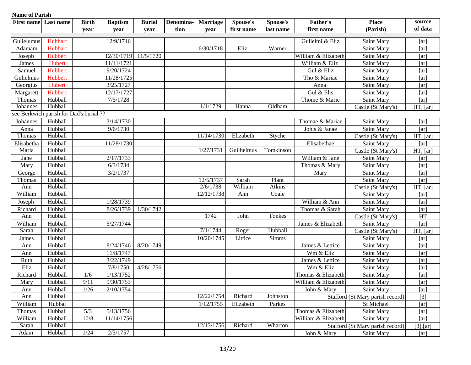| <b>Name of Parish</b> |                                         |              |                |               |           |                 |            |                 |                     |                                  |                        |
|-----------------------|-----------------------------------------|--------------|----------------|---------------|-----------|-----------------|------------|-----------------|---------------------|----------------------------------|------------------------|
| <b>First name</b>     | Last name                               | <b>Birth</b> | <b>Baptism</b> | <b>Burial</b> | Denomina- | <b>Marriage</b> | Spouse's   | <b>Spouse's</b> | <b>Father's</b>     | <b>Place</b>                     | source                 |
|                       |                                         | year         | year           | year          | tion      | year            | first name | last name       | first name          | (Parish)                         | of data                |
| Gulielumus            | Hubbart                                 |              | 12/9/1716      |               |           |                 |            |                 | Gulielmi & Eliz     | Saint Mary                       | [ar]                   |
| Adamam                | Hubbart                                 |              |                |               |           | 6/30/1718       | Eliz       | Warner          |                     | Saint Mary                       | [ar]                   |
| Joseph                | Hubbert                                 |              | 12/30/1719     | 11/5/1720     |           |                 |            |                 | William & Elizabeth | Saint Mary                       | [ar]                   |
| James                 | Hubert                                  |              | 11/11/1721     |               |           |                 |            |                 | William & Eliz      | Saint Mary                       | [ar]                   |
| Samuel                | Hubbert                                 |              | 9/20/1724      |               |           |                 |            |                 | Gul & Eliz          | Saint Mary                       | [ar]                   |
| Gulielmus             | Hubbert                                 |              | 11/28/1725     |               |           |                 |            |                 | Tho & Mariae        | Saint Mary                       | [ar]                   |
| Georgius              | Hubert                                  |              | 3/25/1727      |               |           |                 |            |                 | Anna                | Saint Mary                       | [ar]                   |
| Margarett             | Hubbert                                 |              | 12/17/1727     |               |           |                 |            |                 | Gul & Elis          | Saint Mary                       | [ar]                   |
| Thomas                | Hubball                                 |              | 7/5/1728       |               |           |                 |            |                 | Thome & Marie       | Saint Mary                       | [ar]                   |
| Johannes              | Hubball                                 |              |                |               |           | 1/1/1729        | Hanna      | Oldham          |                     | Castle (St Mary's)               | HT, [ar]               |
|                       | see Berkwich parish for Dad's burial ?? |              |                |               |           |                 |            |                 |                     |                                  |                        |
| Johannes              | Hubball                                 |              | 3/14/1730      |               |           |                 |            |                 | Thomae & Mariae     | Saint Mary                       | [ar]                   |
| Anna                  | Hubball                                 |              | 9/6/1730       |               |           |                 |            |                 | Johis & Janae       | Saint Mary                       | [ar]                   |
| Thomas                | Hubball                                 |              |                |               |           | 11/14/1730      | Elizabeth  | Styche          |                     | Castle (St Mary's)               | HT, [ar]               |
| Elisabetha            | Hubball                                 |              | 11/28/1730     |               |           |                 |            |                 | Elisabethae         | Saint Mary                       | [ar]                   |
| Maria                 | Hubball                                 |              |                |               |           | 1/27/1731       | Guilhelmus | Tomkinson       |                     | Castle (St Mary's)               | HT, [ar]               |
| Jane                  | Hubball                                 |              | 2/17/1733      |               |           |                 |            |                 | William & Jane      | Saint Mary                       | [ar]                   |
| Mary                  | Hubball                                 |              | 6/3/1734       |               |           |                 |            |                 | Thomas & Mary       | Saint Mary                       | [ar]                   |
| George                | Hubball                                 |              | 3/2/1737       |               |           |                 |            |                 | Mary                | Saint Mary                       | [ar]                   |
| Thomas                | Hubball                                 |              |                |               |           | 12/5/1737       | Sarah      | Plant           |                     | Saint Mary                       | [ar]                   |
| Ann                   | Hubball                                 |              |                |               |           | 2/6/1738        | William    | <b>Atkins</b>   |                     | Castle (St Mary's)               | HT, [ar]               |
| William               | Hubball                                 |              |                |               |           | 12/12/1738      | Ann        | Coale           |                     | Saint Mary                       | [ar]                   |
| Joseph                | Hubball                                 |              | 1/28/1739      |               |           |                 |            |                 | William & Ann       | Saint Mary                       | [ar]                   |
| Richard               | Hubball                                 |              | 8/26/1739      | 1/30/1742     |           |                 |            |                 | Thomas & Sarah      | Saint Mary                       | [ar]                   |
| Ann                   | Hubball                                 |              |                |               |           | 1742            | John       | Tonkes          |                     | Castle (St Mary's)               | HT                     |
| William               | Hubball                                 |              | 5/27/1744      |               |           |                 |            |                 | James & Elizabeth   | Saint Mary                       | [ar]                   |
| Sarah                 | Hubball                                 |              |                |               |           | 7/1/1744        | Roger      | Hubball         |                     | Castle (St Mary's)               | $\overline{HT}$ , [ar] |
| James                 | Hubball                                 |              |                |               |           | 10/20/1745      | Littice    | Simms           |                     | Saint Mary                       | [ar]                   |
| Ann                   | Hubball                                 |              | 8/24/1746      | 8/20/1749     |           |                 |            |                 | James & Lettice     | Saint Mary                       | [ar]                   |
| Ann                   | Hubball                                 |              | 11/8/1747      |               |           |                 |            |                 | Wm & Eliz           | Saint Mary                       | [ar]                   |
| Ruth                  | Hubball                                 |              | 3/22/1749      |               |           |                 |            |                 | James & Lettice     | Saint Mary                       | [ar]                   |
| Eliz                  | Hubball                                 |              | 7/8/1750       | 4/28/1756     |           |                 |            |                 | Wm & Eliz           | Saint Mary                       | [ar]                   |
| Richard               | Hubball                                 | 1/6          | 1/13/1752      |               |           |                 |            |                 | Thomas & Elizabeth  | Saint Mary                       | [ar]                   |
| Mary                  | Hubball                                 | 9/11         | 9/30/1753      |               |           |                 |            |                 | William & Elizabeth | Saint Mary                       | [ar]                   |
| Ann                   | Hubball                                 | 1/26         | 2/10/1754      |               |           |                 |            |                 | John & Mary         | Saint Mary                       | [ar]                   |
| Ann                   | Hubball                                 |              |                |               |           | 12/22/1754      | Richard    | Johnston        |                     | Stafford (St Mary parish record) | $[3]$                  |
| William               | Hubbal                                  |              |                |               |           | 1/12/1755       | Elizabeth  | Parkes          |                     | St Michael                       | [ar]                   |
| Thomas                | Hubball                                 | 5/3          | 5/13/1756      |               |           |                 |            |                 | Thomas & Elizabeth  | Saint Mary                       | [ar]                   |
| William               | Hubball                                 | 10/8         | 11/14/1756     |               |           |                 |            |                 | William & Elizabeth | Saint Mary                       | [ar]                   |
| Sarah                 | Hubball                                 |              |                |               |           | 12/13/1756      | Richard    | Wharton         |                     | Stafford (St Mary parish record) | $[3]$ , [ar]           |
| Adam                  | Hubball                                 | 1/24         | 2/3/1757       |               |           |                 |            |                 | John & Mary         | Saint Mary                       | [ar]                   |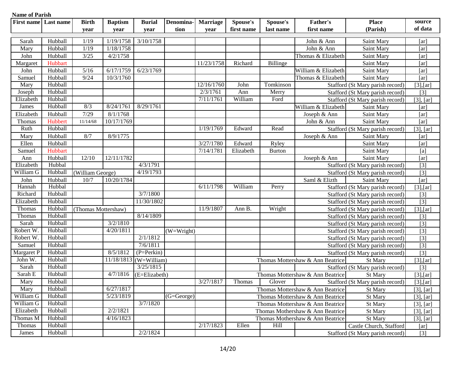| <b>Name of Parish</b> |           |                     |                |                          |                                       |                 |            |               |                                  |                                  |                  |
|-----------------------|-----------|---------------------|----------------|--------------------------|---------------------------------------|-----------------|------------|---------------|----------------------------------|----------------------------------|------------------|
| <b>First name</b>     | Last name | <b>Birth</b>        | <b>Baptism</b> | <b>Burial</b>            | Denomina-                             | <b>Marriage</b> | Spouse's   | Spouse's      | <b>Father's</b>                  | <b>Place</b>                     | source           |
|                       |           | year                | year           | year                     | tion                                  | year            | first name | last name     | first name                       | (Parish)                         | of data          |
| Sarah                 | Hubball   | 1/19                | 1/19/1758      | 3/10/1758                |                                       |                 |            |               | John & Ann                       | Saint Mary                       | [ar]             |
| Mary                  | Hubball   | 1/19                | 1/18/1758      |                          |                                       |                 |            |               | John & Ann                       | Saint Mary                       | [ar]             |
| John                  | Hubball   | 3/25                | 4/2/1758       |                          |                                       |                 |            |               | Thomas & Elizabeth               | Saint Mary                       | [ar]             |
| Margaret              | Hubbart   |                     |                |                          |                                       | 11/23/1758      | Richard    | Billinge      |                                  | Saint Mary                       | [ar]             |
| John                  | Hubball   | $5/16$              | 6/17/1759      | 6/23/1769                |                                       |                 |            |               | William & Elizabeth              | Saint Mary                       | [ar]             |
| Samuel                | Hubball   | 9/24                | 10/3/1760      |                          |                                       |                 |            |               | Thomas & Elizabeth               | Saint Mary                       | [ar]             |
| Mary                  | Hubball   |                     |                |                          |                                       | 12/16/1760      | John       | Tomkinson     |                                  | Stafford (St Mary parish record) | $[3]$ , $[ar]$   |
| Joseph                | Hubball   |                     |                |                          |                                       | 2/3/1761        | Ann        | Merry         |                                  | Stafford (St Mary parish record) | $\boxed{3}$      |
| Elizabeth             | Hubball   |                     |                |                          |                                       | 7/11/1761       | William    | Ford          |                                  | Stafford (St Mary parish record) | $[3]$ , $[ar]$   |
| James                 | Hubball   | 8/3                 | 8/24/1761      | 8/29/1761                |                                       |                 |            |               | William & Elizabeth              | Saint Mary                       | [ar]             |
| Elizabeth             | Hubball   | 7/29                | 8/1/1768       |                          |                                       |                 |            |               | Joseph & Ann                     | Saint Mary                       | [ar]             |
| Thomas                | Hubbert   | 11/14/68            | 10/17/1769     |                          |                                       |                 |            |               | John & Ann                       | Saint Mary                       | [ar]             |
| Ruth                  | Hubball   |                     |                |                          |                                       | 1/19/1769       | Edward     | Read          |                                  | Stafford (St Mary parish record) | [3], [ar]        |
| Mary                  | Hubball   | 8/7                 | 8/9/1775       |                          |                                       |                 |            |               | Joseph & Ann                     | Saint Mary                       | [ar]             |
| Ellen                 | Hubball   |                     |                |                          |                                       | 3/27/1780       | Edward     | Ryley         |                                  | Saint Mary                       | [ar]             |
| Samuel                | Hubbart   |                     |                |                          |                                       | 7/14/1781       | Elizabeth  | <b>Burton</b> |                                  | Saint Mary                       | [a]              |
| Ann                   | Hubball   | 12/10               | 12/11/1782     |                          |                                       |                 |            |               | Joseph & Ann                     | Saint Mary                       | [ar]             |
| Elizabeth             | Hubbal    |                     |                | 4/3/1791                 |                                       |                 |            |               |                                  | Stafford (St Mary parish record) | $[3]$            |
| William G             | Hubball   | (William George)    |                | 4/19/1793                |                                       |                 |            |               |                                  | Stafford (St Mary parish record) | $[3]$            |
| John                  | Hubball   | 10/7                | 10/20/1784     |                          |                                       |                 |            |               | Saml & Elizth                    | Saint Mary                       | [ar]             |
| Hannah                | Hubbal    |                     |                |                          |                                       | 6/11/1798       | William    | Perry         |                                  | Stafford (St Mary parish record) | $[3]$ , $[ar]$   |
| Richard               | Hubball   |                     |                | 3/7/1800                 |                                       |                 |            |               |                                  | Stafford (St Mary parish record) | $[3]$            |
| Elizabeth             | Hubball   |                     |                | 11/30/1802               |                                       |                 |            |               |                                  | Stafford (St Mary parish record) | $[3]$            |
| Thomas                | Hubball   | (Thomas Mottershaw) |                |                          |                                       | 11/9/1807       | Ann B.     | Wright        |                                  | Stafford (St Mary parish record) | $[3]$ , $[ar]$   |
| Thomas                | Hubball   |                     |                | 8/14/1809                |                                       |                 |            |               |                                  | Stafford (St Mary parish record) | $[3]$            |
| Sarah                 | Hubball   |                     | 3/2/1810       |                          |                                       |                 |            |               |                                  | Stafford (St Mary parish record) | $\overline{[3]}$ |
| Robert W              | Hubball   |                     | 4/20/1811      |                          | $(W=Wright)$                          |                 |            |               |                                  | Stafford (St Mary parish record) | $[3]$            |
| Robert W.             | Hubball   |                     |                | 2/1/1812                 |                                       |                 |            |               |                                  | Stafford (St Mary parish record) | $\boxed{3}$      |
| Samuel                | Hubball   |                     |                | 7/6/1811                 |                                       |                 |            |               |                                  | Stafford (St Mary parish record) | $[3]$            |
| Margaret P            | Hubball   |                     | 8/5/1812       | $(P=Perkin)$             |                                       |                 |            |               |                                  | Stafford (St Mary parish record) | $\overline{3}$   |
| John W.               | Hubball   |                     | 11/18/1813     | (W=William)              |                                       |                 |            |               | Thomas Mottershaw & Ann Beatrice | St Mary                          | $[3]$ , $[ar]$   |
| Sarah                 | Hubball   |                     |                | 3/25/1815                |                                       |                 |            |               |                                  | Stafford (St Mary parish record) | $[3]$            |
| Sarah E               | Hubball   |                     |                | $4/7/1816$ (E=Elizabeth) |                                       |                 |            |               | Thomas Mottershaw & Ann Beatrice | St Mary                          | $[3]$ , $[ar]$   |
| Mary                  | Hubball   |                     |                |                          |                                       | 3/27/1817       | Thomas     | Glover        |                                  | Stafford (St Mary parish record) | $[3]$ , $[ar]$   |
| Mary                  | Hubball   |                     | 6/27/1817      |                          |                                       |                 |            |               | Thomas Mottershaw & Ann Beatrice | St Mary                          | $[3]$ , $[ar]$   |
| William G             | Hubball   |                     | 5/23/1819      |                          | $\overline{(\text{G}=\text{George})}$ |                 |            |               | Thomas Mottershaw & Ann Beatrice | St Mary                          | $[3]$ , $[ar]$   |
| William G             | Hubball   |                     |                | 3/7/1820                 |                                       |                 |            |               | Thomas Mottershaw & Ann Beatrice | St Mary                          | $[3]$ , $[ar]$   |
| Elizabeth             | Hubball   |                     | 2/2/1821       |                          |                                       |                 |            |               | Thomas Mothershaw & Ann Beatrice | St Mary                          | $[3]$ , $[ar]$   |
| Thomas M              | Hubball   |                     | 4/16/1823      |                          |                                       |                 |            |               | Thomas Mothershaw & Ann Beatrice | St Mary                          | $[3]$ , $[ar]$   |
| Thomas                | Hubball   |                     |                |                          |                                       | 2/17/1823       | Ellen      | Hill          |                                  | Castle Church, Stafford          | [ar]             |
| James                 | Hubball   |                     |                | 2/2/1824                 |                                       |                 |            |               |                                  | Stafford (St Mary parish record) | $[3]$            |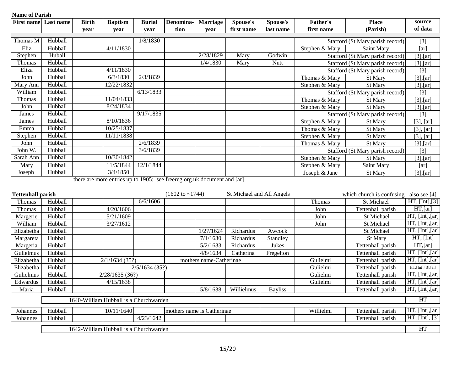| <b>First name</b> | Last name                | <b>Birth</b> | <b>Baptism</b> | <b>Burial</b>              | Denomina-                                                               | <b>Marriage</b>           | Spouse's   | Spouse's  | <b>Father's</b>            | <b>Place</b>                     | source         |
|-------------------|--------------------------|--------------|----------------|----------------------------|-------------------------------------------------------------------------|---------------------------|------------|-----------|----------------------------|----------------------------------|----------------|
|                   |                          | year         | year           | vear                       | tion                                                                    | year                      | first name | last name | first name                 | (Parish)                         | of data        |
|                   |                          |              |                |                            |                                                                         |                           |            |           |                            |                                  |                |
| Thomas M          | Hubball                  |              |                | 1/8/1830                   |                                                                         |                           |            |           |                            | Stafford (St Mary parish record) | [3]            |
| Eliz              | Hubball                  |              | 4/11/1830      |                            |                                                                         |                           |            |           | Stephen & Mary             | Saint Mary                       | [ar]           |
| Stephen           | Huball                   |              |                |                            |                                                                         | 2/28/1829                 | Mary       | Godwin    |                            | Stafford (St Mary parish record) | $[3]$ , [ar]   |
| Thomas            | Hubball                  |              |                |                            |                                                                         | 1/4/1830                  | Mary       | Nutt      |                            | Stafford (St Mary parish record) | $[3]$ , $[ar]$ |
| Eliza             | Hubball                  |              | 4/11/1830      |                            |                                                                         |                           |            |           |                            | Stafford (St Mary parish record) | $[3]$          |
| John              | Hubball                  |              | 6/3/1830       | 2/3/1839                   |                                                                         |                           |            |           | Thomas & Mary              | St Mary                          | $[3]$ , [ar]   |
| Mary Ann          | Hubball                  |              | 12/22/1832     |                            |                                                                         |                           |            |           | Stephen & Mary             | <b>St Mary</b>                   | $[3]$ , $[ar]$ |
| William           | Hubball                  |              |                | 6/13/1833                  |                                                                         |                           |            |           |                            | Stafford (St Mary parish record) | [3]            |
| Thomas            | Hubball                  |              | 11/04/1833     |                            |                                                                         |                           |            |           | Thomas & Mary              | St Mary                          | $[3]$ , [ar]   |
| John              | Hubball                  |              | 8/24/1834      |                            |                                                                         |                           |            |           | Stephen & Mary             | St Mary                          | $[3]$ , [ar]   |
| James             | Hubball                  |              |                | 9/17/1835                  |                                                                         |                           |            |           |                            | Stafford (St Mary parish record) | [3]            |
| James             | Hubball                  |              | 8/10/1836      |                            |                                                                         |                           |            |           | Stephen & Mary             | St Mary                          | $[3]$ , $[ar]$ |
| Emma              | Hubball                  |              | 10/25/1837     |                            |                                                                         |                           |            |           | Thomas & Mary              | <b>St Mary</b>                   | $[3]$ , $[ar]$ |
| Stephen           | Hubball                  |              | 11/11/1838     |                            |                                                                         |                           |            |           | Stephen & Mary             | St Mary                          | $[3]$ , $[ar]$ |
| John              | Hubball                  |              |                | 2/6/1839                   |                                                                         |                           |            |           | Thomas & Mary              | <b>St Mary</b>                   | $[3]$ , $[ar]$ |
| John W.           | Hubball                  |              |                | 3/6/1839                   |                                                                         |                           |            |           |                            | Stafford (St Mary parish record) | $[3]$          |
| Sarah Ann         | Hubball                  |              | 10/30/1842     |                            |                                                                         |                           |            |           | Stephen & Mary             | St Mary                          | $[3]$ , [ar]   |
| Mary              | Hubball                  |              | 11/5/1844      | 12/1/1844                  |                                                                         |                           |            |           | Stephen & Mary             | Saint Mary                       | [ar]           |
| Joseph            | Hubball                  |              | 3/4/1850       |                            |                                                                         |                           |            |           | Joseph & Jane              | St Mary                          | $[3]$ , [ar]   |
|                   |                          |              |                |                            | there are more entries up to 1905; see freereg.org.uk document and [ar] |                           |            |           |                            |                                  |                |
|                   | <b>Tettenhall parish</b> |              |                | $(1602 \text{ to } -1744)$ |                                                                         | St Michael and All Angels |            |           | which church is confusing. | also see $[4]$                   |                |
| <b>Thomas</b>     | Hubball                  |              |                | 6/6/1606                   |                                                                         |                           |            |           | Thomas                     | St Michael                       | HT, [Int], [3] |

| Thomas     | Hubball                                |                                        |                | 6/6/1606      |  |                            |            |                 | Thomas    | <b>St Michael</b> | HT, [Int], [3]    |
|------------|----------------------------------------|----------------------------------------|----------------|---------------|--|----------------------------|------------|-----------------|-----------|-------------------|-------------------|
| Thomas     | Hubball                                |                                        | 4/20/1606      |               |  |                            |            |                 | John      | Tettenhall parish | $HT$ , [ar]       |
| Margerie   | Hubball                                |                                        | 5/21/1609      |               |  |                            |            |                 | John      | St Michael        | HT, [Int], [ar]   |
| William    | Hubball                                |                                        | 3/27/1612      |               |  |                            |            |                 | John      | St Michael        | HT, [Int], [ar]   |
| Elizabetha | Hubball                                |                                        |                |               |  | 1/27/1624                  | Richardus  | Awcock          |           | St Michael        | HT, [Int], [ar]   |
| Margareta  | Hubball                                |                                        |                |               |  | 7/1/1630                   | Richardus  | <b>Standley</b> |           | St Mary           | HT, [Int]         |
| Margeria   | Hubball                                |                                        |                |               |  | 5/2/1633                   | Richardus  | Jukes           |           | Tettenhall parish | $HT$ , [ar]       |
| Gulielmus  | Hubball                                |                                        |                |               |  | 4/8/1634                   | Catherina  | Fregelton       |           | Tettenhall parish | HT, [Int], [ar]   |
| Elizabetha | Hubball                                |                                        | 2/1/1634(35?)  |               |  | mothers name-Catherinae    |            |                 | Gulielmi  | Tettenhall parish | HT, [Int], [ar]   |
| Elizabetha | Hubball                                |                                        |                | 2/5/1634(35?) |  |                            |            |                 | Gulielmi  | Tettenhall parish | HT,[Int],[3],[ar] |
| Gulielmus  | Hubball                                |                                        | 2/28/1635(36?) |               |  |                            |            |                 | Gulielmi  | Tettenhall parish | HT, [Int], [ar]   |
| Edwardus   | Hubball                                |                                        | 4/15/1638      |               |  |                            |            |                 | Gulielmi  | Tettenhall parish | HT, [Int], [ar]   |
| Maria      | Hubball                                |                                        |                |               |  | 5/8/1638                   | Willielmus | <b>Bayliss</b>  |           | Tettenhall parish | HT, [Int], [ar]   |
|            |                                        | 1640-William Hubball is a Churchwarden |                |               |  |                            |            |                 |           |                   | HT                |
|            |                                        |                                        |                |               |  |                            |            |                 |           |                   |                   |
| Johannes   | Hubball                                |                                        | 10/11/1640     |               |  | mothers name is Catherinae |            |                 | Willielmi | Tettenhall parish | HT, [Int], [ar]   |
| Johannes   | Hubball                                |                                        |                | 4/23/1642     |  |                            |            |                 |           | Tettenhall parish | HT, [Int], [3]    |
|            | 1642-William Hubball is a Churchwarden |                                        |                |               |  |                            |            |                 |           |                   | HT                |
|            |                                        |                                        |                |               |  |                            |            |                 |           |                   |                   |

15/20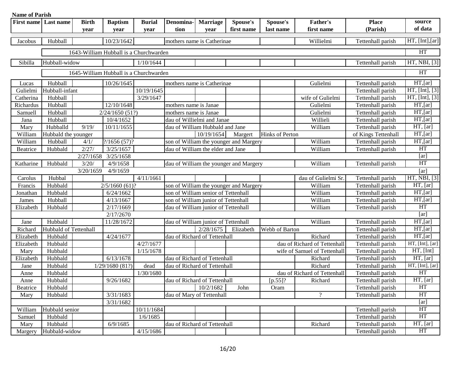| <b>Name of Parish</b> |                       |              |                                        |               |                              |                                     |                                        |                 |                              |                     |                    |
|-----------------------|-----------------------|--------------|----------------------------------------|---------------|------------------------------|-------------------------------------|----------------------------------------|-----------------|------------------------------|---------------------|--------------------|
| <b>First name</b>     | Last name             | <b>Birth</b> | <b>Baptism</b>                         | <b>Burial</b> | Denomina-                    | <b>Marriage</b>                     | Spouse's                               | Spouse's        | Father's                     | <b>Place</b>        | source             |
|                       |                       | year         | year                                   | vear          | tion                         | year                                | first name                             | last name       | first name                   | (Parish)            | of data            |
| Jacobus               | Hubball               |              | 10/23/1642                             |               |                              | mothers name is Catherinae          |                                        |                 | Willielmi                    | Tettenhall parish   | $HT$ , [Int], [ar] |
|                       |                       |              |                                        |               |                              |                                     |                                        |                 |                              |                     |                    |
|                       |                       |              | 1643-William Hubball is a Churchwarden |               |                              |                                     |                                        |                 |                              |                     | HT                 |
| Sibilla               | Hubball-widow         |              |                                        | 1/10/1644     |                              |                                     |                                        |                 |                              | Tettenhall parish   | HT, NBI, [3]       |
|                       |                       |              | 1645-William Hubball is a Churchwarden |               |                              |                                     |                                        |                 |                              |                     | HT                 |
| Lucas                 | Hubball               |              | 10/26/1645                             |               |                              | mothers name is Catherinae          |                                        |                 | Gulielmi                     | Tettenhall parish   | $HT$ , [ar]        |
| Gulielmi              | Hubball-infant        |              |                                        | 10/19/1645    |                              |                                     |                                        |                 |                              | Tettenhall parish   | HT, [Int], [3]     |
| Catherina             | Hubball               |              |                                        | 3/29/1647     |                              |                                     |                                        |                 | wife of Gulielmi             | Tettenhall parish   | HT, [Int], [3]     |
| Richardus             | Hubball               |              | 12/10/1648                             |               | mothers name is Janae        |                                     |                                        |                 | Gulielmi                     | Tettenhall parish   | $HT$ , [ar]        |
| Samuell               | Hubball               |              | 2/24/1650(51?)                         |               | mothers name is Janae        |                                     |                                        |                 | Gulielmi                     | Tettenhall parish   | $HT$ , [ar]        |
| Jana                  | Hubball               |              | 10/4/1652                              |               |                              | dau of Willielmi and Janae          |                                        |                 | Willieli                     | Tettenhall parish   | $HT$ , [ar]        |
| Mary                  | Hubballd              | 9/19/        | 10/11/1655                             |               |                              | dau of William Hubbald and Jane     |                                        |                 | William                      | Tettenhall parish   | HT, [ar]           |
| William               | Hubbald the younger   |              |                                        |               |                              | 10/19/1654                          | Margert                                | Hinks of Perton |                              | of Kings Tettenhall | $HT$ , [ar]        |
| William               | Hubball               | 4/1/         | $\frac{2}{1656}(57)$ ?                 |               |                              |                                     | son of William the younger and Margery |                 | William                      | Tettenhall parish   | $HT$ , [ar]        |
| Beatrice              | Hubbald               | 2/27/        | 3/25/1657                              |               |                              | dau of William the elder and Jane   |                                        |                 | William                      | Tettenhall parish   | <b>HT</b>          |
|                       |                       | 2/27/1658    | 3/25/1658                              |               |                              |                                     |                                        |                 |                              |                     | [ar]               |
| Katharine             | Hubbald               | 3/20/        | 4/9/1658                               |               |                              |                                     | dau of William the younger and Margery |                 | William                      | Tettenhall parish   | <b>HT</b>          |
|                       |                       | 3/20/1659    | 4/9/1659                               |               |                              |                                     |                                        |                 |                              |                     | [ar]               |
| Carolus               | Hubbal                |              |                                        | 4/11/1661     |                              |                                     |                                        |                 | dau of Gulielmi Sr.          | Tettenhall parish   | HT, NBI, [3]       |
| Francis               | Hubbald               |              | $2/5/1660(61)$ ?                       |               |                              |                                     | son of William the younger and Margery |                 | William                      | Tettenhall parish   | HT, [ar]           |
| Jonathan              | Hubbald               |              | 6/24/1662                              |               |                              | son of William senior of Tettenhall |                                        |                 | William                      | Tettenhall parish   | $HT$ , [ar]        |
| James                 | Hubball               |              | 4/13/1667                              |               |                              | son of William junior of Tettenhall |                                        |                 | William                      | Tettenhall parish   | $HT$ , [ar]        |
| Elizabeth             | Hubbald               |              | 2/17/1669                              |               |                              | dau of William junior of Tettenhall |                                        |                 | William                      | Tettenhall parish   | <b>HT</b>          |
|                       |                       |              | 2/17/2670                              |               |                              |                                     |                                        |                 |                              |                     | [ar]               |
| Jane                  | Hubbald               |              | 11/28/1672                             |               |                              | dau of William junior of Tettenhall |                                        |                 | William                      | Tettenhall parish   | $HT$ , [ar]        |
| Richard               | Hubbald of Tettenhall |              |                                        |               |                              | $\overline{2/28}/1675$              | Elizabeth                              | Webb of Barton  |                              | Tettenhall parish   | $HT$ , [ar]        |
| Elizabeth             | Hubbald               |              | 4/24/1677                              |               |                              | dau of Richard of Tettenhall        |                                        |                 | Richard                      | Tettenhall parish   | $HT$ , [ar]        |
| Elizabeth             | Hubbald               |              |                                        | 4/27/1677     |                              |                                     |                                        |                 | dau of Richard of Tettenhall | Tettenhall parish   | HT, [Int], [ar]    |
| Mary                  | Hubbald               |              |                                        | 1/15/1678     |                              |                                     |                                        |                 | wife of Samuel of Tettenhall | Tettenhall parish   | HT, [Int]          |
| Elizabeth             | Hubbald               |              | 6/13/1678                              |               | dau of Richard of Tettenhall |                                     |                                        |                 | Richard                      | Tettenhall parish   | HT, [ar]           |
| Jane                  | Hubbald               |              | 1/29/1680(81?)                         | dead          |                              | dau of Richard of Tettenhall        |                                        |                 | Richard                      | Tettenhall parish   | HT, [Int], [ar]    |
| Anne                  | Hubbald               |              |                                        | 1/30/1680     |                              |                                     |                                        |                 | dau of Richard of Tettenhall | Tettenhall parish   | <b>HT</b>          |
| Anne                  | Hubbald               |              | 9/26/1682                              |               | dau of Richard of Tettenhall |                                     |                                        |                 | $[p.55]$ ? Richard           | Tettenhall parish   | HT, [ar]           |
| Beatrice              | Hubbald               |              |                                        |               |                              | 10/2/1682                           | John                                   | Oram            |                              | Tettenhall parish   | HT                 |
| Mary                  | Hubbald               |              | 3/31/1683                              |               |                              | dau of Mary of Tettenhall           |                                        |                 | $\gamma$                     | Tettenhall parish   | <b>HT</b>          |
|                       |                       |              | 3/31/1682                              |               |                              |                                     |                                        |                 |                              |                     | [ar]               |
| William               | Hubbald senior        |              |                                        | 10/11/1684    |                              |                                     |                                        |                 |                              | Tettenhall parish   | <b>HT</b>          |
| Samuel                | Hubbald               |              |                                        | 1/6/1685      |                              |                                     |                                        |                 |                              | Tettenhall parish   | <b>HT</b>          |
| Mary                  | Hubbald               |              | 6/9/1685                               |               |                              | dau of Richard of Tettenhall        |                                        |                 | Richard                      | Tettenhall parish   | HT, [ar]           |
| Margery               | Hubbald-widow         |              |                                        | 4/15/1686     |                              |                                     |                                        |                 |                              | Tettenhall parish   | HT                 |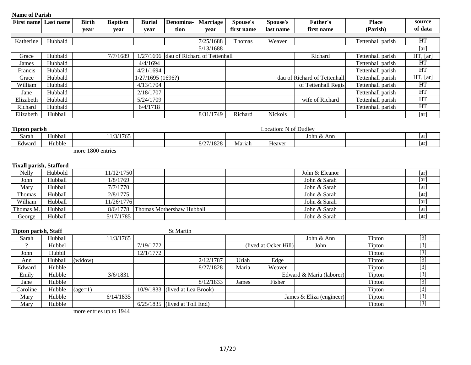| маше от тагили<br><b>First name</b> | Last name | <b>Birth</b> | <b>Baptism</b> | <b>Burial</b>    | Denomina-                              | <b>Marriage</b> | Spouse's   | Spouse's       | <b>Father's</b>              | <b>Place</b>      | source    |
|-------------------------------------|-----------|--------------|----------------|------------------|----------------------------------------|-----------------|------------|----------------|------------------------------|-------------------|-----------|
|                                     |           | year         | year           | year             | tion                                   | year            | first name | last name      | first name                   | (Parish)          | of data   |
|                                     |           |              |                |                  |                                        |                 |            |                |                              |                   |           |
| Katherine                           | Hubbald   |              |                |                  |                                        | 7/25/1688       | Thomas     | Weaver         |                              | Tettenhall parish | HT        |
|                                     |           |              |                |                  |                                        | 5/13/1688       |            |                |                              |                   | [ar]      |
| Grace                               | Hubbald   |              | 7/7/1689       |                  | 1/27/1696 dau of Richard of Tettenhall |                 |            |                | Richard                      | Tettenhall parish | HT, [ar]  |
| James                               | Hubbald   |              |                | 4/4/1694         |                                        |                 |            |                |                              | Tettenhall parish | HT        |
| Francis                             | Hubbald   |              |                | 4/21/1694        |                                        |                 |            |                |                              | Tettenhall parish | HT        |
| Grace                               | Hubbald   |              |                | 1/27/1695(1696?) |                                        |                 |            |                | dau of Richard of Tettenhall | Tettenhall parish | HT, [ar]  |
| William                             | Hubbald   |              |                | 4/13/1704        |                                        |                 |            |                | of Tettenhall Regis          | Tettenhall parish | HT        |
| Jane                                | Hubbald   |              |                | 2/18/1707        |                                        |                 |            |                |                              | Tettenhall parish | HT        |
| Elizabeth                           | Hubbald   |              |                | 5/24/1709        |                                        |                 |            |                | wife of Richard              | Tettenhall parish | HT        |
| Richard                             | Hubbald   |              |                | 6/4/1718         |                                        |                 |            |                |                              | Tettenhall parish | <b>HT</b> |
| Elizabeth                           | Hubball   |              |                |                  |                                        | 8/31/1749       | Richard    | <b>Nickols</b> |                              |                   | [ar]      |

| <b>Tipton parish</b>                |         |                 |  |             |        | Location: | $\sim$ $\sim$<br>. N of Dudley       |     |
|-------------------------------------|---------|-----------------|--|-------------|--------|-----------|--------------------------------------|-----|
| Sarah                               | Hubball | 1/3/1765<br>11/ |  |             |        |           | $\blacksquare$<br>John $\&$ .<br>Ann | 1ar |
| $\mathbf{r}$ $\mathbf{r}$<br>Edward | Hubble  |                 |  | .<br>Marıah | Heaver |           | ar                                   |     |
|                                     |         |                 |  |             |        |           |                                      |     |

more 1800 entries

#### **Tixall parish, Stafford**

| Nelly     | Hubbold | 11/12/1750 |                           |  |  | John & Eleanor | $\lceil ar \rceil$ |
|-----------|---------|------------|---------------------------|--|--|----------------|--------------------|
| John      | Hubball | 1/8/1769   |                           |  |  | John & Sarah   | [ar]               |
| Mary      | Hubball | 7/7/1770   |                           |  |  | John & Sarah   | ar                 |
| Thomas    | Hubball | 2/8/1775   |                           |  |  | John & Sarah   | [ar]               |
| William   | Hubball | 11/26/1776 |                           |  |  | John & Sarah   | ar                 |
| Thomas M. | Hubball | 8/6/1778   | Thomas Mothershaw Hubball |  |  | John & Sarah   | [ar]               |
| George    | Hubball | 5/17/1785  |                           |  |  | John & Sarah   | [ar]               |

| Tipton parish, Staff |         |                  |           |           | <b>St Martin</b>                 |           |       |                       |                          |        |             |
|----------------------|---------|------------------|-----------|-----------|----------------------------------|-----------|-------|-----------------------|--------------------------|--------|-------------|
| Sarah                | Hubball |                  | 11/3/1765 |           |                                  |           |       |                       | John & Ann               | Tipton | $[3]$       |
|                      | Hubbel  |                  |           | 7/19/1772 |                                  |           |       | (lived at Ocker Hill) | John                     | Tipton | $[3]$       |
| John                 | Hubbil  |                  |           | 12/1/1772 |                                  |           |       |                       |                          | Tipton | $[3]$       |
| Ann                  | Hubball | (widow)          |           |           |                                  | 2/12/1787 | Uriah | Edge                  |                          | Tipton | $[3]$       |
| Edward               | Hubble  |                  |           |           |                                  | 8/27/1828 | Maria | Weaver                |                          | Tipton | $\boxed{3}$ |
| Emily                | Hubble  |                  | 3/6/1831  |           |                                  |           |       |                       | Edward & Maria (laborer) | Tipton | $[3]$       |
| Jane                 | Hubble  |                  |           |           |                                  | 8/12/1833 | James | Fisher                |                          | Tipton | $[3]$       |
| Caroline             | Hubble  | $\text{(age=1)}$ |           |           | $10/9/1833$ (lived at Lea Brook) |           |       |                       |                          | Tipton | $[3]$       |
| Mary                 | Hubble  |                  | 6/14/1835 |           |                                  |           |       |                       | James & Eliza (engineer) | Tipton | $[3]$       |
| Mary                 | Hubble  |                  |           |           | $6/25/1835$ (lived at Toll End)  |           |       |                       |                          | Tipton | $[3]$       |

more entries up to 1944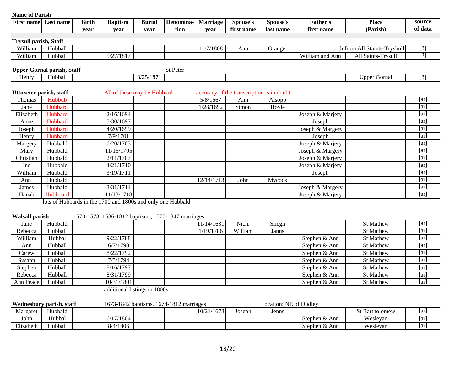| <b>Name of Parish</b>        |                                   |              |                             |               |           |                 |                                           |           |                  |                                |                    |
|------------------------------|-----------------------------------|--------------|-----------------------------|---------------|-----------|-----------------|-------------------------------------------|-----------|------------------|--------------------------------|--------------------|
| <b>First name</b>            | Last name                         | <b>Birth</b> | <b>Baptism</b>              | <b>Burial</b> | Denomina- | <b>Marriage</b> | Spouse's                                  | Spouse's  | Father's         | <b>Place</b>                   | source             |
|                              |                                   | vear         | year                        | vear          | tion      | vear            | first name                                | last name | first name       | (Parish)                       | of data            |
| <b>Trysull parish, Staff</b> |                                   |              |                             |               |           |                 |                                           |           |                  |                                |                    |
| William                      | Hubball                           |              |                             |               |           | 11/7/1808       | Ann                                       | Granger   |                  | both from All Staints-Tryshull | $[3]$              |
| William                      | Hubball                           |              | 5/27/1817                   |               |           |                 |                                           |           | William and Ann  | All Saints-Trysull             | $[3]$              |
|                              |                                   |              |                             |               |           |                 |                                           |           |                  |                                |                    |
|                              | <b>Upper Gornal parish, Staff</b> |              |                             |               | St Peter  |                 |                                           |           |                  |                                |                    |
| Henry                        | Hubball                           |              |                             | 3/25/1871     |           |                 |                                           |           |                  | <b>Upper Gornal</b>            | $[3]$              |
|                              |                                   |              |                             |               |           |                 |                                           |           |                  |                                |                    |
| Uttoxeter parish, staff      |                                   |              | All of these may be Hubbard |               |           |                 | accuracy of the transcription is in doubt |           |                  |                                |                    |
| Thomas                       | Hubbub                            |              |                             |               |           | 5/8/1667        | Ann                                       | Alsopp    |                  |                                | [ar]               |
| Jane                         | Hubbard                           |              |                             |               |           | 1/28/1692       | Simon                                     | Hoyle     |                  |                                | [ar]               |
| Elizabeth                    | Hubbard                           |              | 2/16/1694                   |               |           |                 |                                           |           | Joseph & Marjery |                                | [ar]               |
| Anne                         | Hubbard                           |              | 5/30/1697                   |               |           |                 |                                           |           | Joseph           |                                | [ar]               |
| Joseph                       | Hubbard                           |              | 4/20/1699                   |               |           |                 |                                           |           | Joseph & Margery |                                | [ar]               |
| Henry                        | Hubbard                           |              | 7/9/1701                    |               |           |                 |                                           |           | Joseph           |                                | $\lceil ar \rceil$ |
| Margery                      | Hubbald                           |              | 6/20/1703                   |               |           |                 |                                           |           | Joseph & Marjery |                                | [ar]               |
| Mary                         | Hubbald                           |              | 11/16/1705                  |               |           |                 |                                           |           | Joseph & Margery |                                | [ar]               |
| Christian                    | Hubbald                           |              | 2/11/1707                   |               |           |                 |                                           |           | Joseph & Marjery |                                | [ar]               |
| Jno                          | Hubbale                           |              | 4/21/1710                   |               |           |                 |                                           |           | Joseph & Marjery |                                | [ar]               |
| William                      | Hubbald                           |              | 3/19/1711                   |               |           |                 |                                           |           | Joseph           |                                | [ar]               |
| Ann                          | Hubbald                           |              |                             |               |           | 12/14/1713      | John                                      | Mycock    |                  |                                | [ar]               |
| James                        | Hubbald                           |              | 3/31/1714                   |               |           |                 |                                           |           | Joseph & Margery |                                | [ar]               |
| Hanah                        | Hubboard                          |              | 11/13/1718                  |               |           |                 |                                           |           | Joseph & Marjery |                                | [ar]               |

lots of Hubbards in the 1700 and 1800s and only one Hubbald

**Walsall parish** 1570-1573, 1636-1812 baptisms, 1570-1847 marriages

| Jane      | <b>Hubbald</b> |            |  | 11/14/1631 | Nich.   | Sliegh |               | <b>St Mathew</b> | [ar] |
|-----------|----------------|------------|--|------------|---------|--------|---------------|------------------|------|
| Rebecca   | Hubball        |            |  | 1/19/1786  | William | Janns  |               | <b>St Mathew</b> | [ar] |
| William   | Hubbal         | 9/22/1788  |  |            |         |        | Stephen & Ann | <b>St Mathew</b> | [ar] |
| Ann       | Hubball        | 6/7/1790   |  |            |         |        | Stephen & Ann | <b>St Mathew</b> | [ar] |
| Carew     | Hubball        | 8/22/1792  |  |            |         |        | Stephen & Ann | St Mathew        | [ar] |
| Susann    | Hubbal         | 7/5/1794   |  |            |         |        | Stephen & Ann | <b>St Mathew</b> | [ar] |
| Stephen   | Hubball        | 8/16/1797  |  |            |         |        | Stephen & Ann | <b>St Mathew</b> | [ar] |
| Rebecca   | Hubball        | 8/31/1799  |  |            |         |        | Stephen & Ann | <b>St Mathew</b> | [ar] |
| Ann Peace | Hubball        | 10/31/1801 |  |            |         |        | Stephen & Ann | <b>St Mathew</b> | [ar] |

additional listings in 1800s

| Wednesbury parish, staff |         | 1673-1842 baptisms, 1674-1812 marriages |  |  |            |        | Location: NE of Dudlev |               |                       |    |
|--------------------------|---------|-----------------------------------------|--|--|------------|--------|------------------------|---------------|-----------------------|----|
| Margaret                 | Hubbald |                                         |  |  | 10/21/1678 | Joseph | Jenns                  |               | <b>St Bartholomew</b> | ar |
| John                     | Hubbal  | 6/17/1804                               |  |  |            |        |                        | Stephen & Ann | Wesleyan              | ar |
| Elizabeth                | Hubball | 8/4/1806                                |  |  |            |        |                        | Stephen & Ann | Wesleyan              | ar |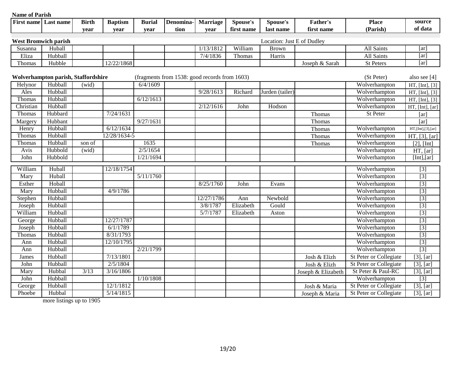| <b>TRAINC OF L GERMIN</b> | First name Last name                | <b>Birth</b> | <b>Baptism</b> | <b>Burial</b> | Denomina- | <b>Marriage</b>                               | Spouse's          | Spouse's                   | <b>Father's</b>    | <b>Place</b>                  | source                 |
|---------------------------|-------------------------------------|--------------|----------------|---------------|-----------|-----------------------------------------------|-------------------|----------------------------|--------------------|-------------------------------|------------------------|
|                           |                                     | year         | year           | year          | tion      | year                                          | first name        | last name                  | first name         | (Parish)                      | of data                |
|                           |                                     |              |                |               |           |                                               |                   |                            |                    |                               |                        |
|                           | <b>West Bromwich parish</b>         |              |                |               |           |                                               |                   | Location: Just E of Dudley |                    |                               | [ar]                   |
| Susanna                   | Huball<br>Hubball                   |              |                |               |           | 1/13/1812<br>7/4/1836                         | William<br>Thomas | <b>Brown</b>               |                    | All Saints<br>All Saints      | [ar]                   |
| Eliza                     |                                     |              |                |               |           |                                               |                   | Harris                     |                    |                               | [ar]                   |
| Thomas                    | Hubble                              |              | 12/22/1868     |               |           |                                               |                   |                            | Joseph & Sarah     | St Peters                     |                        |
|                           | Wolverhampton parish, Staffordshire |              |                |               |           | (fragments from 1538: good records from 1603) |                   |                            |                    | (St Peter)                    | also see [4]           |
| Helynor                   | Hubball                             | (wid)        |                | 6/4/1609      |           |                                               |                   |                            |                    | Wolverhampton                 | HT, [Int], [3]         |
| Ales                      | Hubball                             |              |                |               |           | 9/28/1613                                     | Richard           | Jurden (tailer)            |                    | Wolverhampton                 | HT, [Int], [3]         |
| Thomas                    | Hubball                             |              |                | 6/12/1613     |           |                                               |                   |                            |                    | Wolverhampton                 | HT, [Int], [3]         |
| Christian                 | Hubball                             |              |                |               |           | 2/12/1616                                     | John              | Hodson                     |                    | Wolverhampton                 | HT, [Int], [ar]        |
| Thomas                    | Hubbard                             |              | 7/24/1631      |               |           |                                               |                   |                            | Thomas             | St Peter                      | [ar]                   |
| Margery                   | Hubbant                             |              |                | 9/27/1631     |           |                                               |                   |                            | Thomas             |                               | [ar]                   |
| Henry                     | Hubball                             |              | 6/12/1634      |               |           |                                               |                   |                            | Thomas             | Wolverhampton                 | HT, [Int], [3], [ar]   |
| Thomas                    | Hubball                             |              | 12/28/1634-5   |               |           |                                               |                   |                            | Thomas             | Wolverhampton                 | HT, [3], [ar]          |
| Thomas                    | Hubball                             | son of       |                | 1635          |           |                                               |                   |                            | Thomas             | Wolverhampton                 | $[2]$ , $[Int]$        |
| Avis                      | Hubbold                             | (wid)        |                | 2/5/1654      |           |                                               |                   |                            |                    | Wolverhampton                 | HT, [ar]               |
| John                      | Hubbold                             |              |                | 1/21/1694     |           |                                               |                   |                            |                    | Wolverhampton                 | [Int], [ar]            |
| William                   | Huball                              |              | 12/18/1754     |               |           |                                               |                   |                            |                    | Wolverhampton                 | $\boxed{3}$            |
| Mary                      | Huball                              |              |                | 5/11/1760     |           |                                               |                   |                            |                    | Wolverhampton                 | $[3]$                  |
| Esther                    | Hoball                              |              |                |               |           | 8/25/1760                                     | John              | Evans                      |                    | Wolverhampton                 | $[3]$                  |
| Mary                      | Hubball                             |              | 4/9/1786       |               |           |                                               |                   |                            |                    | Wolverhampton                 | $[3]$                  |
| Stephen                   | Hubball                             |              |                |               |           | 12/27/1786                                    | Ann               | Newbold                    |                    | Wolverhampton                 | $[3]$                  |
| Joseph                    | Hubball                             |              |                |               |           | 3/8/1787                                      | Elizabeth         | Gould                      |                    | Wolverhampton                 | $[3]$                  |
| William                   | Hubball                             |              |                |               |           | 5/7/1787                                      | Elizabeth         | Aston                      |                    | Wolverhampton                 | $[3]$                  |
| George                    | Hubball                             |              | 12/27/1787     |               |           |                                               |                   |                            |                    | Wolverhampton                 | $[3]$                  |
| Joseph                    | Hubball                             |              | 6/1/1789       |               |           |                                               |                   |                            |                    | Wolverhampton                 | $[3]$                  |
| Thomas                    | Hubball                             |              | 8/31/1793      |               |           |                                               |                   |                            |                    | Wolverhampton                 | $[3]$                  |
| Ann                       | Hubball                             |              | 12/10/1795     |               |           |                                               |                   |                            |                    | Wolverhampton                 | $[3]$                  |
| Ann                       | Hubball                             |              |                | 2/21/1799     |           |                                               |                   |                            |                    | Wolverhampton                 | $[3]$                  |
| James                     | Hubball                             |              | 7/13/1801      |               |           |                                               |                   |                            | Josh & Elizh       | <b>St Peter or Collegiate</b> | $[3]$ , $[ar]$         |
| John                      | Hubball                             |              | 2/5/1804       |               |           |                                               |                   |                            | Josh & Elizh       | St Peter or Collegiate        | $[3]$ , $[ar]$         |
| Mary                      | Hubbal                              | 3/13         | 3/16/1806      |               |           |                                               |                   |                            | Joseph & Elizabeth | St Peter & Paul-RC            | $[3]$ , $[ar]$         |
| John                      | Hubball                             |              |                | 1/10/1808     |           |                                               |                   |                            |                    | Wolverhampton                 | $[3]$                  |
| George                    | Hubball                             |              | 12/1/1812      |               |           |                                               |                   |                            | Josh & Maria       | <b>St Peter or Collegiate</b> | $[3]$ , $[ar]$         |
| Phoebe                    | Hubbal                              |              | 5/14/1815      |               |           |                                               |                   |                            | Joseph & Maria     | <b>St Peter or Collegiate</b> | $\overline{[3], [ar]}$ |

more listings up to 1905